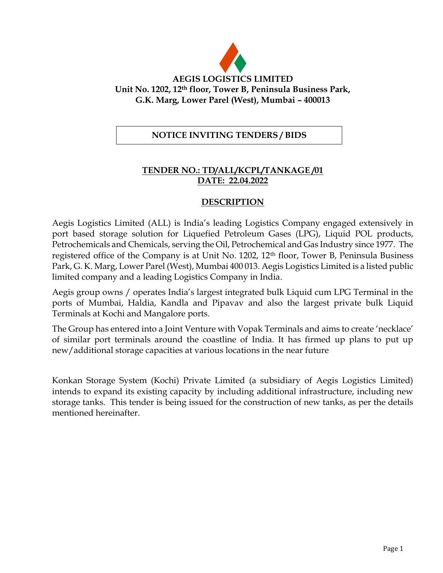

### **NOTICE INVITING TENDERS / BIDS**

## **TENDER NO.: TD/ALL/KCPL/TANKAGE /01 DATE: 22.04.2022**

#### **DESCRIPTION**

Aegis Logistics Limited (ALL) is India's leading Logistics Company engaged extensively in port based storage solution for Liquefied Petroleum Gases (LPG), Liquid POL products, Petrochemicals and Chemicals, serving the Oil, Petrochemical and Gas Industry since 1977. The registered office of the Company is at Unit No. 1202, 12th floor, Tower B, Peninsula Business Park, G. K. Marg, Lower Parel (West), Mumbai 400 013. Aegis Logistics Limited is a listed public limited company and a leading Logistics Company in India.

Aegis group owns / operates India's largest integrated bulk Liquid cum LPG Terminal in the ports of Mumbai, Haldia, Kandla and Pipavav and also the largest private bulk Liquid Terminals at Kochi and Mangalore ports.

The Group has entered into a Joint Venture with Vopak Terminals and aims to create 'necklace' of similar port terminals around the coastline of India. It has firmed up plans to put up new/additional storage capacities at various locations in the near future

Konkan Storage System (Kochi) Private Limited (a subsidiary of Aegis Logistics Limited) intends to expand its existing capacity by including additional infrastructure, including new storage tanks. This tender is being issued for the construction of new tanks, as per the details mentioned hereinafter.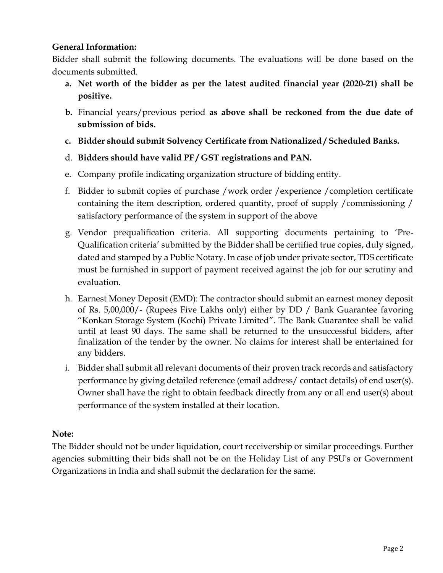### **General Information:**

Bidder shall submit the following documents. The evaluations will be done based on the documents submitted.

- **a. Net worth of the bidder as per the latest audited financial year (2020-21) shall be positive.**
- **b.** Financial years/previous period **as above shall be reckoned from the due date of submission of bids.**
- **c. Bidder should submit Solvency Certificate from Nationalized / Scheduled Banks.**
- d. **Bidders should have valid PF / GST registrations and PAN.**
- e. Company profile indicating organization structure of bidding entity.
- f. Bidder to submit copies of purchase /work order /experience /completion certificate containing the item description, ordered quantity, proof of supply /commissioning / satisfactory performance of the system in support of the above
- g. Vendor prequalification criteria. All supporting documents pertaining to 'Pre-Qualification criteria' submitted by the Bidder shall be certified true copies, duly signed, dated and stamped by a Public Notary. In case of job under private sector, TDS certificate must be furnished in support of payment received against the job for our scrutiny and evaluation.
- h. Earnest Money Deposit (EMD): The contractor should submit an earnest money deposit of Rs. 5,00,000/- (Rupees Five Lakhs only) either by DD / Bank Guarantee favoring "Konkan Storage System (Kochi) Private Limited". The Bank Guarantee shall be valid until at least 90 days. The same shall be returned to the unsuccessful bidders, after finalization of the tender by the owner. No claims for interest shall be entertained for any bidders.
- i. Bidder shall submit all relevant documents of their proven track records and satisfactory performance by giving detailed reference (email address/ contact details) of end user(s). Owner shall have the right to obtain feedback directly from any or all end user(s) about performance of the system installed at their location.

### **Note:**

The Bidder should not be under liquidation, court receivership or similar proceedings. Further agencies submitting their bids shall not be on the Holiday List of any PSU's or Government Organizations in India and shall submit the declaration for the same.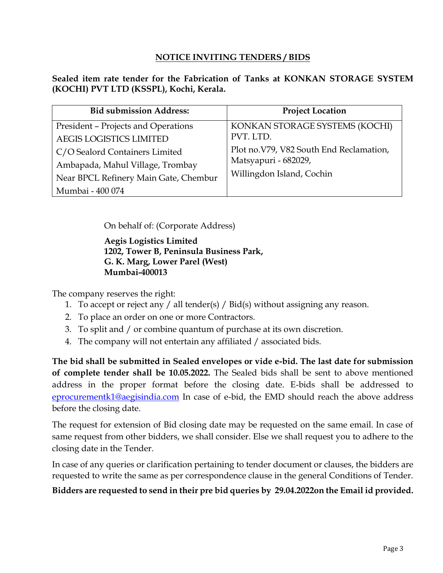### **NOTICE INVITING TENDERS / BIDS**

**Sealed item rate tender for the Fabrication of Tanks at KONKAN STORAGE SYSTEM (KOCHI) PVT LTD (KSSPL), Kochi, Kerala.**

| <b>Bid submission Address:</b>        | <b>Project Location</b>                  |
|---------------------------------------|------------------------------------------|
| President - Projects and Operations   | KONKAN STORAGE SYSTEMS (KOCHI)           |
| <b>AEGIS LOGISTICS LIMITED</b>        | PVT. LTD.                                |
| C/O Sealord Containers Limited        | Plot no. V79, V82 South End Reclamation, |
| Ambapada, Mahul Village, Trombay      | Matsyapuri - 682029,                     |
| Near BPCL Refinery Main Gate, Chembur | Willingdon Island, Cochin                |
| Mumbai - 400 074                      |                                          |

On behalf of: (Corporate Address)

**Aegis Logistics Limited 1202, Tower B, Peninsula Business Park, G. K. Marg, Lower Parel (West) Mumbai-400013**

The company reserves the right:

- 1. To accept or reject any / all tender(s) / Bid(s) without assigning any reason.
- 2. To place an order on one or more Contractors.
- 3. To split and / or combine quantum of purchase at its own discretion.
- 4. The company will not entertain any affiliated / associated bids.

**The bid shall be submitted in Sealed envelopes or vide e-bid. The last date for submission of complete tender shall be 10.05.2022.** The Sealed bids shall be sent to above mentioned address in the proper format before the closing date. E-bids shall be addressed to [eprocurementk1@aegisindia.com](mailto:eprocurementk1@aegisindia.com) In case of e-bid, the EMD should reach the above address before the closing date.

The request for extension of Bid closing date may be requested on the same email. In case of same request from other bidders, we shall consider. Else we shall request you to adhere to the closing date in the Tender.

In case of any queries or clarification pertaining to tender document or clauses, the bidders are requested to write the same as per correspondence clause in the general Conditions of Tender.

### **Bidders are requested to send in their pre bid queries by 29.04.2022on the Email id provided.**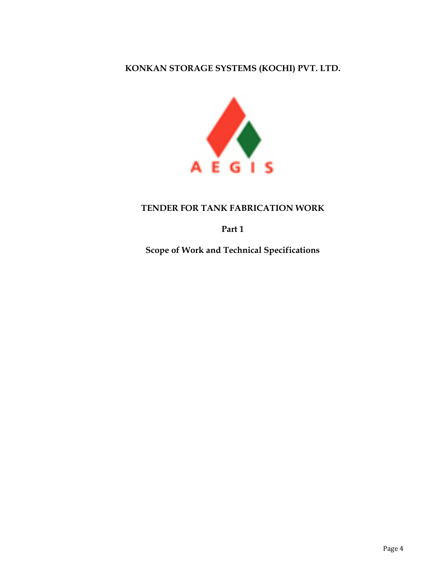## **KONKAN STORAGE SYSTEMS (KOCHI) PVT. LTD.**



## **TENDER FOR TANK FABRICATION WORK**

**Part 1**

**Scope of Work and Technical Specifications**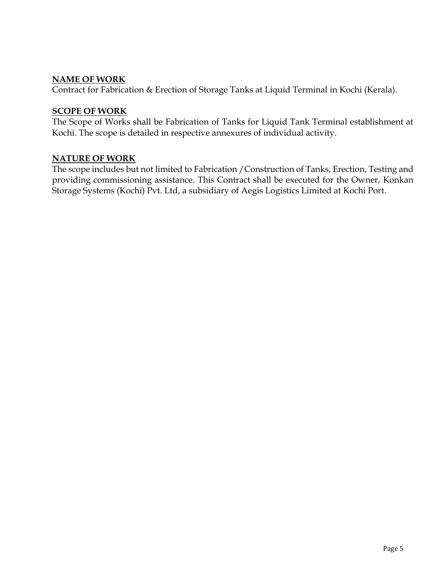### **NAME OF WORK**

Contract for Fabrication & Erection of Storage Tanks at Liquid Terminal in Kochi (Kerala).

#### **SCOPE OF WORK**

The Scope of Works shall be Fabrication of Tanks for Liquid Tank Terminal establishment at Kochi. The scope is detailed in respective annexures of individual activity.

### **NATURE OF WORK**

The scope includes but not limited to Fabrication /Construction of Tanks, Erection, Testing and providing commissioning assistance. This Contract shall be executed for the Owner, Konkan Storage Systems (Kochi) Pvt. Ltd, a subsidiary of Aegis Logistics Limited at Kochi Port.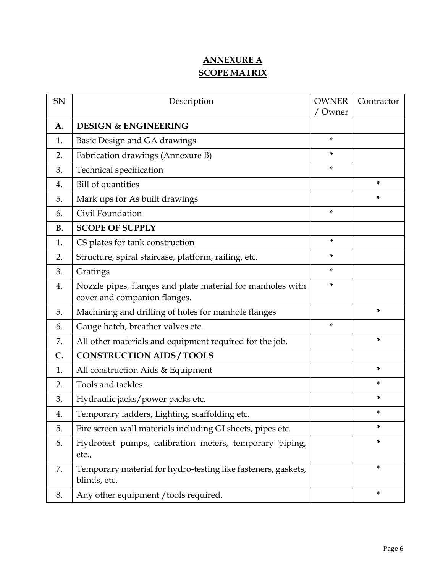# **ANNEXURE A SCOPE MATRIX**

| SN        | Description                                                                                | <b>OWNER</b><br>Owner | Contractor |
|-----------|--------------------------------------------------------------------------------------------|-----------------------|------------|
| A.        | <b>DESIGN &amp; ENGINEERING</b>                                                            |                       |            |
| 1.        | Basic Design and GA drawings                                                               | ×.                    |            |
| 2.        | Fabrication drawings (Annexure B)                                                          | *                     |            |
| 3.        | Technical specification                                                                    | *                     |            |
| 4.        | <b>Bill of quantities</b>                                                                  |                       | ×.         |
| 5.        | Mark ups for As built drawings                                                             |                       | *          |
| 6.        | Civil Foundation                                                                           | *                     |            |
| <b>B.</b> | <b>SCOPE OF SUPPLY</b>                                                                     |                       |            |
| 1.        | CS plates for tank construction                                                            | *                     |            |
| 2.        | Structure, spiral staircase, platform, railing, etc.                                       | *                     |            |
| 3.        | Gratings                                                                                   | *                     |            |
| 4.        | Nozzle pipes, flanges and plate material for manholes with<br>cover and companion flanges. | *                     |            |
| 5.        | Machining and drilling of holes for manhole flanges                                        |                       | *          |
| 6.        | Gauge hatch, breather valves etc.                                                          | *                     |            |
| 7.        | All other materials and equipment required for the job.                                    |                       | *          |
| C.        | <b>CONSTRUCTION AIDS/TOOLS</b>                                                             |                       |            |
| 1.        | All construction Aids & Equipment                                                          |                       | ×.         |
| 2.        | Tools and tackles                                                                          |                       | *          |
| 3.        | Hydraulic jacks/power packs etc.                                                           |                       | *          |
| 4.        | Temporary ladders, Lighting, scaffolding etc.                                              |                       | ×          |
| 5.        | Fire screen wall materials including GI sheets, pipes etc.                                 |                       | *          |
| 6.        | Hydrotest pumps, calibration meters, temporary piping,<br>etc.,                            |                       | ×.         |
| 7.        | Temporary material for hydro-testing like fasteners, gaskets,<br>blinds, etc.              |                       | ×.         |
| 8.        | Any other equipment / tools required.                                                      |                       | ×.         |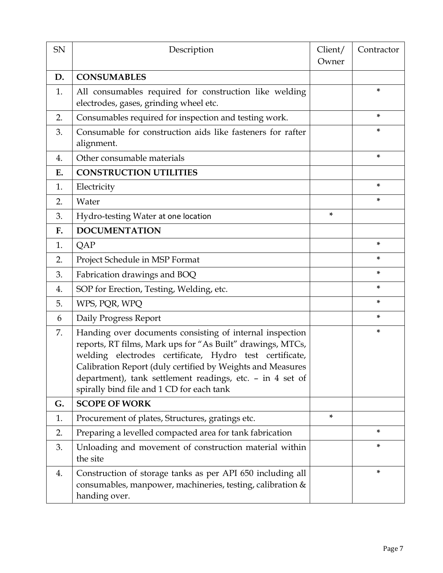| SN | Description                                                                                                                                                                                                                                                                                                                                               | Client/<br>Owner | Contractor |
|----|-----------------------------------------------------------------------------------------------------------------------------------------------------------------------------------------------------------------------------------------------------------------------------------------------------------------------------------------------------------|------------------|------------|
| D. | <b>CONSUMABLES</b>                                                                                                                                                                                                                                                                                                                                        |                  |            |
| 1. | All consumables required for construction like welding<br>electrodes, gases, grinding wheel etc.                                                                                                                                                                                                                                                          |                  | *          |
| 2. | Consumables required for inspection and testing work.                                                                                                                                                                                                                                                                                                     |                  | *          |
| 3. | Consumable for construction aids like fasteners for rafter<br>alignment.                                                                                                                                                                                                                                                                                  |                  | *          |
| 4. | Other consumable materials                                                                                                                                                                                                                                                                                                                                |                  | *          |
| Ε. | <b>CONSTRUCTION UTILITIES</b>                                                                                                                                                                                                                                                                                                                             |                  |            |
| 1. | Electricity                                                                                                                                                                                                                                                                                                                                               |                  | *          |
| 2. | Water                                                                                                                                                                                                                                                                                                                                                     |                  | *          |
| 3. | Hydro-testing Water at one location                                                                                                                                                                                                                                                                                                                       | ×.               |            |
| F. | <b>DOCUMENTATION</b>                                                                                                                                                                                                                                                                                                                                      |                  |            |
| 1. | QAP                                                                                                                                                                                                                                                                                                                                                       |                  | *          |
| 2. | Project Schedule in MSP Format                                                                                                                                                                                                                                                                                                                            |                  | *          |
| 3. | Fabrication drawings and BOQ                                                                                                                                                                                                                                                                                                                              |                  | *          |
| 4. | SOP for Erection, Testing, Welding, etc.                                                                                                                                                                                                                                                                                                                  |                  | *          |
| 5. | WPS, PQR, WPQ                                                                                                                                                                                                                                                                                                                                             |                  | *          |
| 6  | Daily Progress Report                                                                                                                                                                                                                                                                                                                                     |                  | ×.         |
| 7. | Handing over documents consisting of internal inspection<br>reports, RT films, Mark ups for "As Built" drawings, MTCs,<br>welding electrodes certificate, Hydro test certificate,<br>Calibration Report (duly certified by Weights and Measures<br>department), tank settlement readings, etc. - in 4 set of<br>spirally bind file and 1 CD for each tank |                  | *          |
| G. | <b>SCOPE OF WORK</b>                                                                                                                                                                                                                                                                                                                                      |                  |            |
| 1. | Procurement of plates, Structures, gratings etc.                                                                                                                                                                                                                                                                                                          | *                |            |
| 2. | Preparing a levelled compacted area for tank fabrication                                                                                                                                                                                                                                                                                                  |                  | *          |
| 3. | Unloading and movement of construction material within<br>the site                                                                                                                                                                                                                                                                                        |                  | *          |
| 4. | Construction of storage tanks as per API 650 including all<br>consumables, manpower, machineries, testing, calibration &<br>handing over.                                                                                                                                                                                                                 |                  | *          |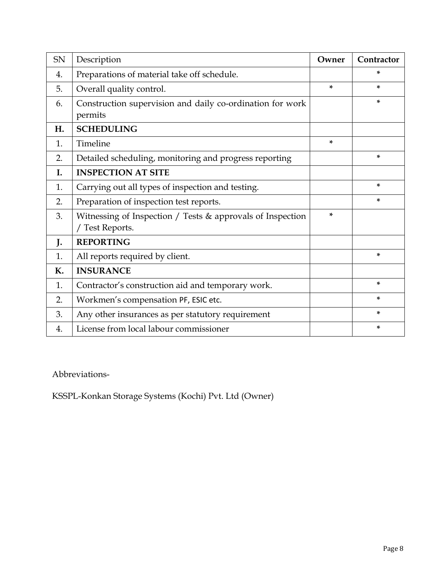| <b>SN</b> | Description                                                                     | Owner | Contractor |
|-----------|---------------------------------------------------------------------------------|-------|------------|
| 4.        | Preparations of material take off schedule.                                     |       | *          |
| 5.        | Overall quality control.                                                        | ×.    | ×.         |
| 6.        | Construction supervision and daily co-ordination for work<br>permits            |       | *          |
| Η.        | <b>SCHEDULING</b>                                                               |       |            |
| 1.        | Timeline                                                                        | *     |            |
| 2.        | Detailed scheduling, monitoring and progress reporting                          |       | *          |
| Ι.        | <b>INSPECTION AT SITE</b>                                                       |       |            |
| 1.        | Carrying out all types of inspection and testing.                               |       | ×.         |
| 2.        | Preparation of inspection test reports.                                         |       | *          |
| 3.        | Witnessing of Inspection / Tests $&$ approvals of Inspection<br>/ Test Reports. | *     |            |
| J.        | <b>REPORTING</b>                                                                |       |            |
| 1.        | All reports required by client.                                                 |       | *          |
| К.        | <b>INSURANCE</b>                                                                |       |            |
| 1.        | Contractor's construction aid and temporary work.                               |       | *          |
| 2.        | Workmen's compensation PF, ESIC etc.                                            |       | *          |
| 3.        | Any other insurances as per statutory requirement                               |       | *          |
| 4.        | License from local labour commissioner                                          |       | *          |

Abbreviations-

KSSPL-Konkan Storage Systems (Kochi) Pvt. Ltd (Owner)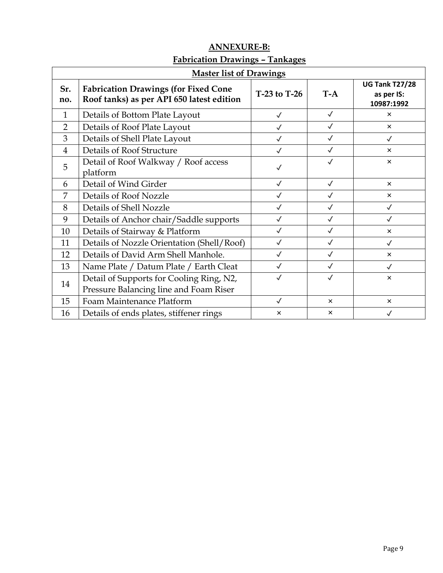|                | <b>Master list of Drawings</b>                                                           |              |              |                                                   |  |  |  |
|----------------|------------------------------------------------------------------------------------------|--------------|--------------|---------------------------------------------------|--|--|--|
| Sr.<br>no.     | <b>Fabrication Drawings (for Fixed Cone</b><br>Roof tanks) as per API 650 latest edition | T-23 to T-26 | $T-A$        | <b>UG Tank T27/28</b><br>as per IS:<br>10987:1992 |  |  |  |
| $\mathbf{1}$   | Details of Bottom Plate Layout                                                           | $\checkmark$ | $\checkmark$ | $\times$                                          |  |  |  |
| $\overline{2}$ | Details of Roof Plate Layout                                                             | $\checkmark$ | $\checkmark$ | $\times$                                          |  |  |  |
| 3              | Details of Shell Plate Layout                                                            | $\checkmark$ | $\checkmark$ | $\checkmark$                                      |  |  |  |
| $\overline{4}$ | <b>Details of Roof Structure</b>                                                         | $\checkmark$ | $\checkmark$ | $\times$                                          |  |  |  |
| 5              | Detail of Roof Walkway / Roof access<br>platform                                         | $\checkmark$ | $\checkmark$ | $\times$                                          |  |  |  |
| 6              | Detail of Wind Girder                                                                    | $\checkmark$ | $\checkmark$ | $\times$                                          |  |  |  |
| 7              | Details of Roof Nozzle                                                                   | $\checkmark$ | $\checkmark$ | $\times$                                          |  |  |  |
| 8              | Details of Shell Nozzle                                                                  | $\checkmark$ | $\checkmark$ | $\checkmark$                                      |  |  |  |
| 9              | Details of Anchor chair/Saddle supports                                                  | $\checkmark$ | $\checkmark$ | $\checkmark$                                      |  |  |  |
| 10             | Details of Stairway & Platform                                                           | $\checkmark$ | $\checkmark$ | $\times$                                          |  |  |  |
| 11             | Details of Nozzle Orientation (Shell/Roof)                                               | $\checkmark$ | $\checkmark$ | $\checkmark$                                      |  |  |  |
| 12             | Details of David Arm Shell Manhole.                                                      | $\checkmark$ | $\checkmark$ | $\times$                                          |  |  |  |
| 13             | Name Plate / Datum Plate / Earth Cleat                                                   | $\checkmark$ | $\checkmark$ | $\checkmark$                                      |  |  |  |
| 14             | Detail of Supports for Cooling Ring, N2,<br>Pressure Balancing line and Foam Riser       | $\checkmark$ | $\checkmark$ | $\times$                                          |  |  |  |
| 15             | Foam Maintenance Platform                                                                | $\checkmark$ | $\times$     | $\times$                                          |  |  |  |
| 16             | Details of ends plates, stiffener rings                                                  | $\times$     | $\times$     |                                                   |  |  |  |

# **ANNEXURE-B: Fabrication Drawings – Tankages**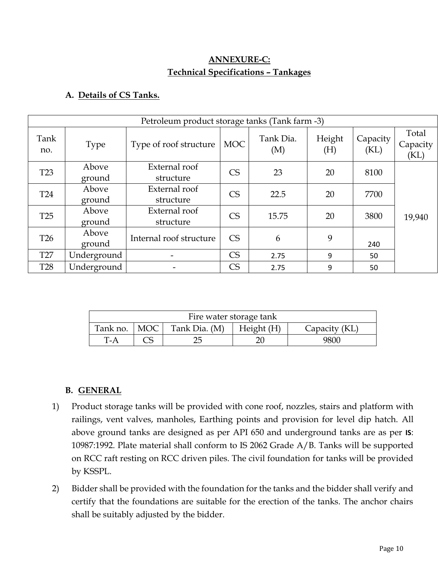## **ANNEXURE-C: Technical Specifications – Tankages**

## **A. Details of CS Tanks.**

|                 | Petroleum product storage tanks (Tank farm -3) |                            |            |                  |               |                  |                           |  |  |
|-----------------|------------------------------------------------|----------------------------|------------|------------------|---------------|------------------|---------------------------|--|--|
| Tank<br>no.     | <b>Type</b>                                    | Type of roof structure     | <b>MOC</b> | Tank Dia.<br>(M) | Height<br>(H) | Capacity<br>(KL) | Total<br>Capacity<br>(KL) |  |  |
| T <sub>23</sub> | Above<br>ground                                | External roof<br>structure | <b>CS</b>  | 23               | 20            | 8100             |                           |  |  |
| <b>T24</b>      | Above<br>ground                                | External roof<br>structure | <b>CS</b>  | 22.5             | 20            | 7700             |                           |  |  |
| T <sub>25</sub> | Above<br>ground                                | External roof<br>structure | <b>CS</b>  | 15.75            | 20            | 3800             | 19,940                    |  |  |
| <b>T26</b>      | Above<br>ground                                | Internal roof structure    | CS         | 6                | 9             | 240              |                           |  |  |
| <b>T27</b>      | Underground                                    |                            | <b>CS</b>  | 2.75             | 9             | 50               |                           |  |  |
| <b>T28</b>      | Underground                                    |                            | CS         | 2.75             | 9             | 50               |                           |  |  |

| Fire water storage tank                                                  |  |  |  |      |  |  |  |
|--------------------------------------------------------------------------|--|--|--|------|--|--|--|
| Tank no.<br>Tank Dia. (M)<br> MOC <br>$\mid$ Height (H)<br>Capacity (KL) |  |  |  |      |  |  |  |
| T-A                                                                      |  |  |  | 9800 |  |  |  |

## **B. GENERAL**

- 1) Product storage tanks will be provided with cone roof, nozzles, stairs and platform with railings, vent valves, manholes, Earthing points and provision for level dip hatch. All above ground tanks are designed as per API 650 and underground tanks are as per **IS**: 10987:1992. Plate material shall conform to IS 2062 Grade A/B. Tanks will be supported on RCC raft resting on RCC driven piles. The civil foundation for tanks will be provided by KSSPL.
- 2) Bidder shall be provided with the foundation for the tanks and the bidder shall verify and certify that the foundations are suitable for the erection of the tanks. The anchor chairs shall be suitably adjusted by the bidder.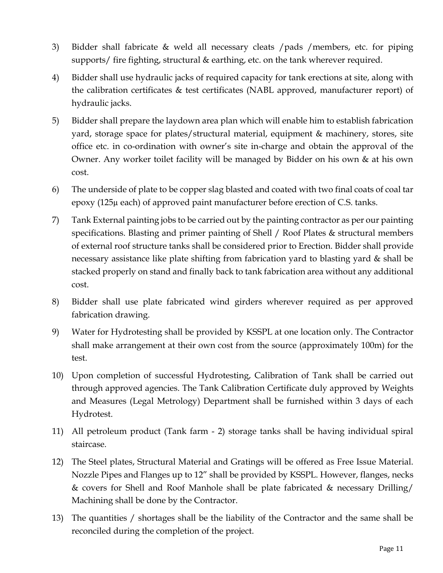- 3) Bidder shall fabricate & weld all necessary cleats /pads /members, etc. for piping supports/ fire fighting, structural & earthing, etc. on the tank wherever required.
- 4) Bidder shall use hydraulic jacks of required capacity for tank erections at site, along with the calibration certificates & test certificates (NABL approved, manufacturer report) of hydraulic jacks.
- 5) Bidder shall prepare the laydown area plan which will enable him to establish fabrication yard, storage space for plates/structural material, equipment & machinery, stores, site office etc. in co-ordination with owner's site in-charge and obtain the approval of the Owner. Any worker toilet facility will be managed by Bidder on his own & at his own cost.
- 6) The underside of plate to be copper slag blasted and coated with two final coats of coal tar epoxy (125µ each) of approved paint manufacturer before erection of C.S. tanks.
- 7) Tank External painting jobs to be carried out by the painting contractor as per our painting specifications. Blasting and primer painting of Shell / Roof Plates & structural members of external roof structure tanks shall be considered prior to Erection. Bidder shall provide necessary assistance like plate shifting from fabrication yard to blasting yard & shall be stacked properly on stand and finally back to tank fabrication area without any additional cost.
- 8) Bidder shall use plate fabricated wind girders wherever required as per approved fabrication drawing.
- 9) Water for Hydrotesting shall be provided by KSSPL at one location only. The Contractor shall make arrangement at their own cost from the source (approximately 100m) for the test.
- 10) Upon completion of successful Hydrotesting, Calibration of Tank shall be carried out through approved agencies. The Tank Calibration Certificate duly approved by Weights and Measures (Legal Metrology) Department shall be furnished within 3 days of each Hydrotest.
- 11) All petroleum product (Tank farm 2) storage tanks shall be having individual spiral staircase.
- 12) The Steel plates, Structural Material and Gratings will be offered as Free Issue Material. Nozzle Pipes and Flanges up to 12" shall be provided by KSSPL. However, flanges, necks & covers for Shell and Roof Manhole shall be plate fabricated & necessary Drilling/ Machining shall be done by the Contractor.
- 13) The quantities / shortages shall be the liability of the Contractor and the same shall be reconciled during the completion of the project.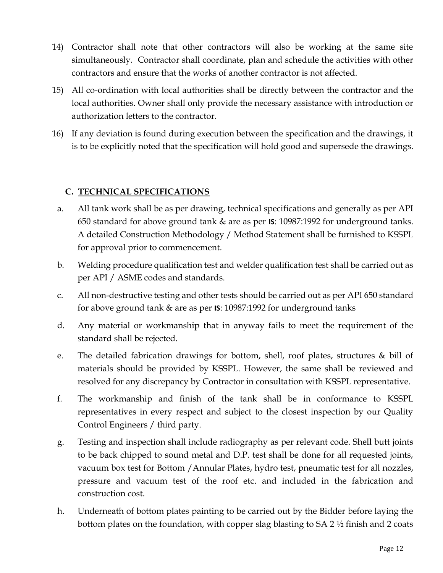- 14) Contractor shall note that other contractors will also be working at the same site simultaneously. Contractor shall coordinate, plan and schedule the activities with other contractors and ensure that the works of another contractor is not affected.
- 15) All co-ordination with local authorities shall be directly between the contractor and the local authorities. Owner shall only provide the necessary assistance with introduction or authorization letters to the contractor.
- 16) If any deviation is found during execution between the specification and the drawings, it is to be explicitly noted that the specification will hold good and supersede the drawings.

## **C. TECHNICAL SPECIFICATIONS**

- a. All tank work shall be as per drawing, technical specifications and generally as per API 650 standard for above ground tank & are as per **IS**: 10987:1992 for underground tanks. A detailed Construction Methodology / Method Statement shall be furnished to KSSPL for approval prior to commencement.
- b. Welding procedure qualification test and welder qualification test shall be carried out as per API / ASME codes and standards.
- c. All non-destructive testing and other tests should be carried out as per API 650 standard for above ground tank & are as per **IS**: 10987:1992 for underground tanks
- d. Any material or workmanship that in anyway fails to meet the requirement of the standard shall be rejected.
- e. The detailed fabrication drawings for bottom, shell, roof plates, structures & bill of materials should be provided by KSSPL. However, the same shall be reviewed and resolved for any discrepancy by Contractor in consultation with KSSPL representative.
- f. The workmanship and finish of the tank shall be in conformance to KSSPL representatives in every respect and subject to the closest inspection by our Quality Control Engineers / third party.
- g. Testing and inspection shall include radiography as per relevant code. Shell butt joints to be back chipped to sound metal and D.P. test shall be done for all requested joints, vacuum box test for Bottom /Annular Plates, hydro test, pneumatic test for all nozzles, pressure and vacuum test of the roof etc. and included in the fabrication and construction cost.
- h. Underneath of bottom plates painting to be carried out by the Bidder before laying the bottom plates on the foundation, with copper slag blasting to SA 2 ½ finish and 2 coats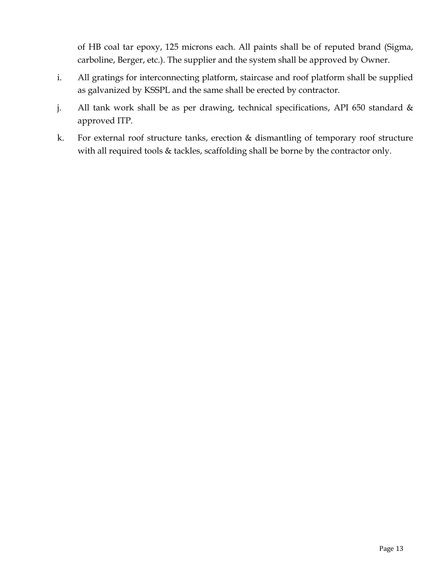of HB coal tar epoxy, 125 microns each. All paints shall be of reputed brand (Sigma, carboline, Berger, etc.). The supplier and the system shall be approved by Owner.

- i. All gratings for interconnecting platform, staircase and roof platform shall be supplied as galvanized by KSSPL and the same shall be erected by contractor.
- j. All tank work shall be as per drawing, technical specifications, API 650 standard & approved ITP.
- k. For external roof structure tanks, erection & dismantling of temporary roof structure with all required tools & tackles, scaffolding shall be borne by the contractor only.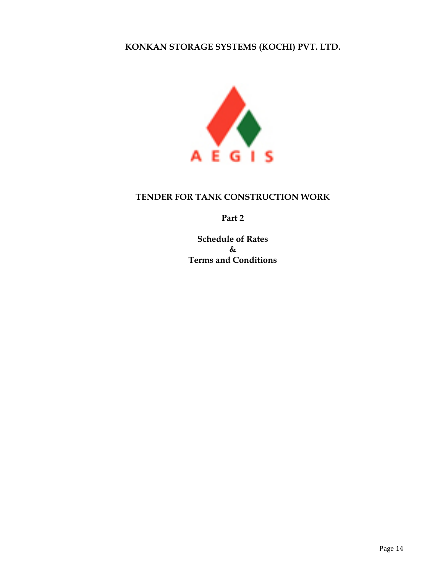## **KONKAN STORAGE SYSTEMS (KOCHI) PVT. LTD.**



#### **TENDER FOR TANK CONSTRUCTION WORK**

**Part 2**

**Schedule of Rates & Terms and Conditions**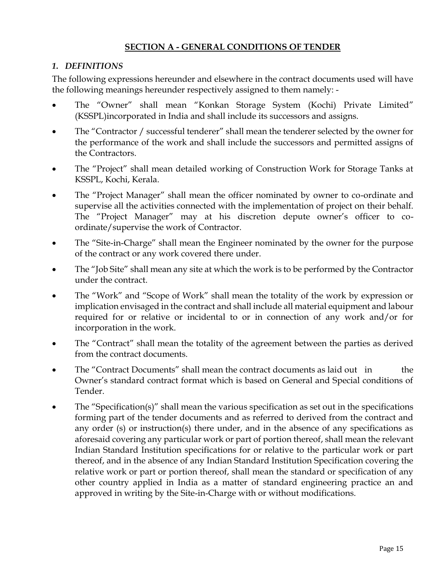### **SECTION A - GENERAL CONDITIONS OF TENDER**

#### *1. DEFINITIONS*

The following expressions hereunder and elsewhere in the contract documents used will have the following meanings hereunder respectively assigned to them namely: -

- The "Owner" shall mean "Konkan Storage System (Kochi) Private Limited" (KSSPL)incorporated in India and shall include its successors and assigns.
- The "Contractor / successful tenderer" shall mean the tenderer selected by the owner for the performance of the work and shall include the successors and permitted assigns of the Contractors.
- The "Project" shall mean detailed working of Construction Work for Storage Tanks at KSSPL, Kochi, Kerala.
- The "Project Manager" shall mean the officer nominated by owner to co-ordinate and supervise all the activities connected with the implementation of project on their behalf. The "Project Manager" may at his discretion depute owner's officer to coordinate/supervise the work of Contractor.
- The "Site-in-Charge" shall mean the Engineer nominated by the owner for the purpose of the contract or any work covered there under.
- The "Job Site" shall mean any site at which the work is to be performed by the Contractor under the contract.
- The "Work" and "Scope of Work" shall mean the totality of the work by expression or implication envisaged in the contract and shall include all material equipment and labour required for or relative or incidental to or in connection of any work and/or for incorporation in the work.
- The "Contract" shall mean the totality of the agreement between the parties as derived from the contract documents.
- The "Contract Documents" shall mean the contract documents as laid out in the Owner's standard contract format which is based on General and Special conditions of Tender.
- The "Specification(s)" shall mean the various specification as set out in the specifications forming part of the tender documents and as referred to derived from the contract and any order (s) or instruction(s) there under, and in the absence of any specifications as aforesaid covering any particular work or part of portion thereof, shall mean the relevant Indian Standard Institution specifications for or relative to the particular work or part thereof, and in the absence of any Indian Standard Institution Specification covering the relative work or part or portion thereof, shall mean the standard or specification of any other country applied in India as a matter of standard engineering practice an and approved in writing by the Site-in-Charge with or without modifications.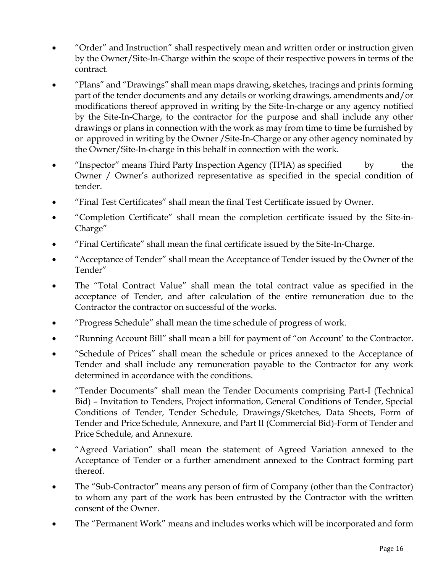- "Order" and Instruction" shall respectively mean and written order or instruction given by the Owner/Site-In-Charge within the scope of their respective powers in terms of the contract.
- "Plans" and "Drawings" shall mean maps drawing, sketches, tracings and prints forming part of the tender documents and any details or working drawings, amendments and/or modifications thereof approved in writing by the Site-In-charge or any agency notified by the Site-In-Charge, to the contractor for the purpose and shall include any other drawings or plans in connection with the work as may from time to time be furnished by or approved in writing by the Owner /Site-In-Charge or any other agency nominated by the Owner/Site-In-charge in this behalf in connection with the work.
- "Inspector" means Third Party Inspection Agency (TPIA) as specified by the Owner / Owner's authorized representative as specified in the special condition of tender.
- "Final Test Certificates" shall mean the final Test Certificate issued by Owner.
- "Completion Certificate" shall mean the completion certificate issued by the Site-in-Charge"
- "Final Certificate" shall mean the final certificate issued by the Site-In-Charge.
- "Acceptance of Tender" shall mean the Acceptance of Tender issued by the Owner of the Tender"
- The "Total Contract Value" shall mean the total contract value as specified in the acceptance of Tender, and after calculation of the entire remuneration due to the Contractor the contractor on successful of the works.
- "Progress Schedule" shall mean the time schedule of progress of work.
- "Running Account Bill" shall mean a bill for payment of "on Account' to the Contractor.
- "Schedule of Prices" shall mean the schedule or prices annexed to the Acceptance of Tender and shall include any remuneration payable to the Contractor for any work determined in accordance with the conditions.
- "Tender Documents" shall mean the Tender Documents comprising Part-I (Technical Bid) – Invitation to Tenders, Project information, General Conditions of Tender, Special Conditions of Tender, Tender Schedule, Drawings/Sketches, Data Sheets, Form of Tender and Price Schedule, Annexure, and Part II (Commercial Bid)-Form of Tender and Price Schedule, and Annexure.
- "Agreed Variation" shall mean the statement of Agreed Variation annexed to the Acceptance of Tender or a further amendment annexed to the Contract forming part thereof.
- The "Sub-Contractor" means any person of firm of Company (other than the Contractor) to whom any part of the work has been entrusted by the Contractor with the written consent of the Owner.
- The "Permanent Work" means and includes works which will be incorporated and form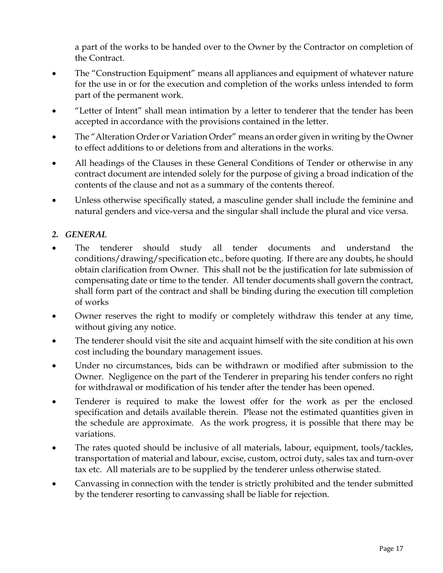a part of the works to be handed over to the Owner by the Contractor on completion of the Contract.

- The "Construction Equipment" means all appliances and equipment of whatever nature for the use in or for the execution and completion of the works unless intended to form part of the permanent work.
- "Letter of Intent" shall mean intimation by a letter to tenderer that the tender has been accepted in accordance with the provisions contained in the letter.
- The "Alteration Order or Variation Order" means an order given in writing by the Owner to effect additions to or deletions from and alterations in the works.
- All headings of the Clauses in these General Conditions of Tender or otherwise in any contract document are intended solely for the purpose of giving a broad indication of the contents of the clause and not as a summary of the contents thereof.
- Unless otherwise specifically stated, a masculine gender shall include the feminine and natural genders and vice-versa and the singular shall include the plural and vice versa.

## *2. GENERAL*

- The tenderer should study all tender documents and understand the conditions/drawing/specification etc., before quoting. If there are any doubts, he should obtain clarification from Owner. This shall not be the justification for late submission of compensating date or time to the tender. All tender documents shall govern the contract, shall form part of the contract and shall be binding during the execution till completion of works
- Owner reserves the right to modify or completely withdraw this tender at any time, without giving any notice.
- The tenderer should visit the site and acquaint himself with the site condition at his own cost including the boundary management issues.
- Under no circumstances, bids can be withdrawn or modified after submission to the Owner. Negligence on the part of the Tenderer in preparing his tender confers no right for withdrawal or modification of his tender after the tender has been opened.
- Tenderer is required to make the lowest offer for the work as per the enclosed specification and details available therein. Please not the estimated quantities given in the schedule are approximate. As the work progress, it is possible that there may be variations.
- The rates quoted should be inclusive of all materials, labour, equipment, tools/tackles, transportation of material and labour, excise, custom, octroi duty, sales tax and turn-over tax etc. All materials are to be supplied by the tenderer unless otherwise stated.
- Canvassing in connection with the tender is strictly prohibited and the tender submitted by the tenderer resorting to canvassing shall be liable for rejection.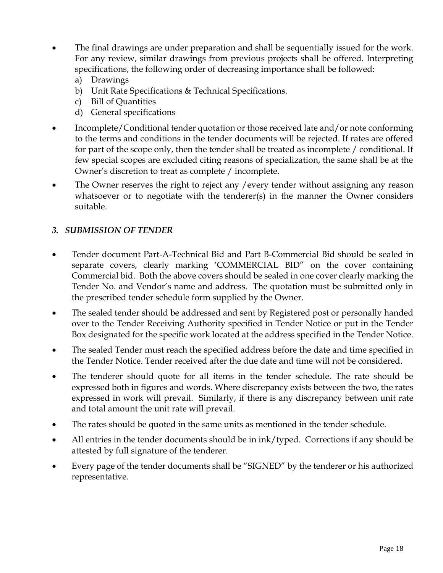- The final drawings are under preparation and shall be sequentially issued for the work. For any review, similar drawings from previous projects shall be offered. Interpreting specifications, the following order of decreasing importance shall be followed:
	- a) Drawings
	- b) Unit Rate Specifications & Technical Specifications.
	- c) Bill of Quantities
	- d) General specifications
- Incomplete/Conditional tender quotation or those received late and/or note conforming to the terms and conditions in the tender documents will be rejected. If rates are offered for part of the scope only, then the tender shall be treated as incomplete / conditional. If few special scopes are excluded citing reasons of specialization, the same shall be at the Owner's discretion to treat as complete / incomplete.
- The Owner reserves the right to reject any /every tender without assigning any reason whatsoever or to negotiate with the tenderer(s) in the manner the Owner considers suitable.

## *3. SUBMISSION OF TENDER*

- Tender document Part-A-Technical Bid and Part B-Commercial Bid should be sealed in separate covers, clearly marking 'COMMERCIAL BID" on the cover containing Commercial bid. Both the above covers should be sealed in one cover clearly marking the Tender No. and Vendor's name and address. The quotation must be submitted only in the prescribed tender schedule form supplied by the Owner.
- The sealed tender should be addressed and sent by Registered post or personally handed over to the Tender Receiving Authority specified in Tender Notice or put in the Tender Box designated for the specific work located at the address specified in the Tender Notice.
- The sealed Tender must reach the specified address before the date and time specified in the Tender Notice. Tender received after the due date and time will not be considered.
- The tenderer should quote for all items in the tender schedule. The rate should be expressed both in figures and words. Where discrepancy exists between the two, the rates expressed in work will prevail. Similarly, if there is any discrepancy between unit rate and total amount the unit rate will prevail.
- The rates should be quoted in the same units as mentioned in the tender schedule.
- All entries in the tender documents should be in ink/typed. Corrections if any should be attested by full signature of the tenderer.
- Every page of the tender documents shall be "SIGNED" by the tenderer or his authorized representative.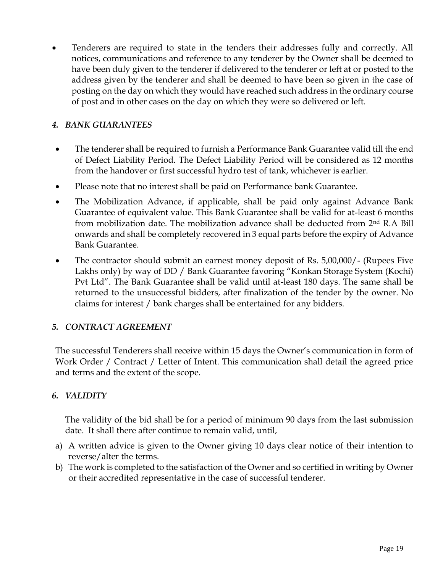• Tenderers are required to state in the tenders their addresses fully and correctly. All notices, communications and reference to any tenderer by the Owner shall be deemed to have been duly given to the tenderer if delivered to the tenderer or left at or posted to the address given by the tenderer and shall be deemed to have been so given in the case of posting on the day on which they would have reached such address in the ordinary course of post and in other cases on the day on which they were so delivered or left.

## *4. BANK GUARANTEES*

- The tenderer shall be required to furnish a Performance Bank Guarantee valid till the end of Defect Liability Period. The Defect Liability Period will be considered as 12 months from the handover or first successful hydro test of tank, whichever is earlier.
- Please note that no interest shall be paid on Performance bank Guarantee.
- The Mobilization Advance, if applicable, shall be paid only against Advance Bank Guarantee of equivalent value. This Bank Guarantee shall be valid for at-least 6 months from mobilization date. The mobilization advance shall be deducted from  $2<sup>nd</sup>$  R.A Bill onwards and shall be completely recovered in 3 equal parts before the expiry of Advance Bank Guarantee.
- The contractor should submit an earnest money deposit of Rs. 5,00,000/- (Rupees Five Lakhs only) by way of DD / Bank Guarantee favoring "Konkan Storage System (Kochi) Pvt Ltd". The Bank Guarantee shall be valid until at-least 180 days. The same shall be returned to the unsuccessful bidders, after finalization of the tender by the owner. No claims for interest / bank charges shall be entertained for any bidders.

### *5. CONTRACT AGREEMENT*

The successful Tenderers shall receive within 15 days the Owner's communication in form of Work Order / Contract / Letter of Intent. This communication shall detail the agreed price and terms and the extent of the scope.

### *6. VALIDITY*

The validity of the bid shall be for a period of minimum 90 days from the last submission date. It shall there after continue to remain valid, until,

- a) A written advice is given to the Owner giving 10 days clear notice of their intention to reverse/alter the terms.
- b) The work is completed to the satisfaction of the Owner and so certified in writing by Owner or their accredited representative in the case of successful tenderer.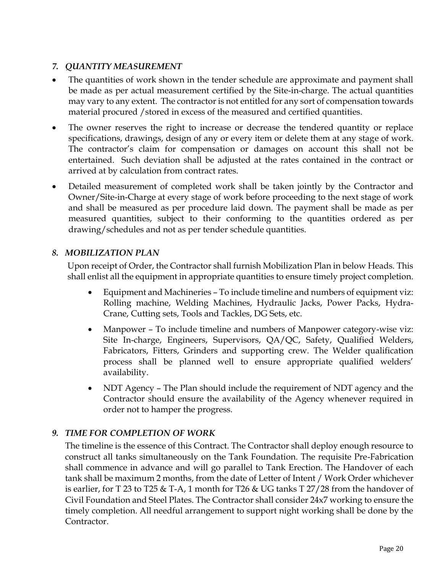## *7. QUANTITY MEASUREMENT*

- The quantities of work shown in the tender schedule are approximate and payment shall be made as per actual measurement certified by the Site-in-charge. The actual quantities may vary to any extent. The contractor is not entitled for any sort of compensation towards material procured / stored in excess of the measured and certified quantities.
- The owner reserves the right to increase or decrease the tendered quantity or replace specifications, drawings, design of any or every item or delete them at any stage of work. The contractor's claim for compensation or damages on account this shall not be entertained. Such deviation shall be adjusted at the rates contained in the contract or arrived at by calculation from contract rates.
- Detailed measurement of completed work shall be taken jointly by the Contractor and Owner/Site-in-Charge at every stage of work before proceeding to the next stage of work and shall be measured as per procedure laid down. The payment shall be made as per measured quantities, subject to their conforming to the quantities ordered as per drawing/schedules and not as per tender schedule quantities.

## *8. MOBILIZATION PLAN*

Upon receipt of Order, the Contractor shall furnish Mobilization Plan in below Heads. This shall enlist all the equipment in appropriate quantities to ensure timely project completion.

- Equipment and Machineries To include timeline and numbers of equipment viz: Rolling machine, Welding Machines, Hydraulic Jacks, Power Packs, Hydra-Crane, Cutting sets, Tools and Tackles, DG Sets, etc.
- Manpower To include timeline and numbers of Manpower category-wise viz: Site In-charge, Engineers, Supervisors, QA/QC, Safety, Qualified Welders, Fabricators, Fitters, Grinders and supporting crew. The Welder qualification process shall be planned well to ensure appropriate qualified welders' availability.
- NDT Agency The Plan should include the requirement of NDT agency and the Contractor should ensure the availability of the Agency whenever required in order not to hamper the progress.

## *9. TIME FOR COMPLETION OF WORK*

The timeline is the essence of this Contract. The Contractor shall deploy enough resource to construct all tanks simultaneously on the Tank Foundation. The requisite Pre-Fabrication shall commence in advance and will go parallel to Tank Erection. The Handover of each tank shall be maximum 2 months, from the date of Letter of Intent / Work Order whichever is earlier, for T 23 to T25 & T-A, 1 month for T26 & UG tanks T 27/28 from the handover of Civil Foundation and Steel Plates. The Contractor shall consider 24x7 working to ensure the timely completion. All needful arrangement to support night working shall be done by the Contractor.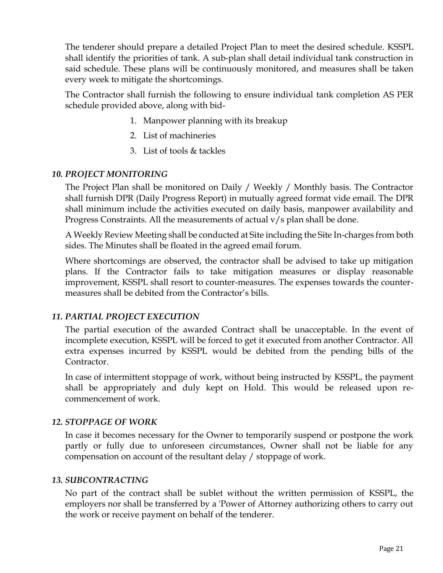The tenderer should prepare a detailed Project Plan to meet the desired schedule. KSSPL shall identify the priorities of tank. A sub-plan shall detail individual tank construction in said schedule. These plans will be continuously monitored, and measures shall be taken every week to mitigate the shortcomings.

The Contractor shall furnish the following to ensure individual tank completion AS PER schedule provided above, along with bid-

- 1. Manpower planning with its breakup
- 2. List of machineries
- 3. List of tools & tackles

### *10. PROJECT MONITORING*

The Project Plan shall be monitored on Daily / Weekly / Monthly basis. The Contractor shall furnish DPR (Daily Progress Report) in mutually agreed format vide email. The DPR shall minimum include the activities executed on daily basis, manpower availability and Progress Constraints. All the measurements of actual v/s plan shall be done.

A Weekly Review Meeting shall be conducted at Site including the Site In-charges from both sides. The Minutes shall be floated in the agreed email forum.

Where shortcomings are observed, the contractor shall be advised to take up mitigation plans. If the Contractor fails to take mitigation measures or display reasonable improvement, KSSPL shall resort to counter-measures. The expenses towards the countermeasures shall be debited from the Contractor's bills.

### *11. PARTIAL PROJECT EXECUTION*

The partial execution of the awarded Contract shall be unacceptable. In the event of incomplete execution, KSSPL will be forced to get it executed from another Contractor. All extra expenses incurred by KSSPL would be debited from the pending bills of the Contractor.

In case of intermittent stoppage of work, without being instructed by KSSPL, the payment shall be appropriately and duly kept on Hold. This would be released upon recommencement of work.

## *12. STOPPAGE OF WORK*

In case it becomes necessary for the Owner to temporarily suspend or postpone the work partly or fully due to unforeseen circumstances, Owner shall not be liable for any compensation on account of the resultant delay / stoppage of work.

### *13. SUBCONTRACTING*

No part of the contract shall be sublet without the written permission of KSSPL, the employers nor shall be transferred by a 'Power of Attorney authorizing others to carry out the work or receive payment on behalf of the tenderer.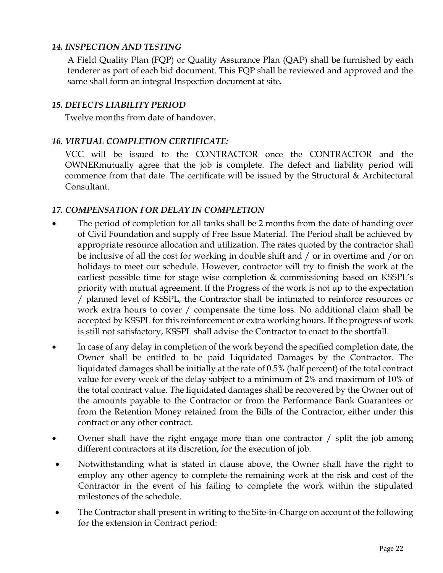### *14. INSPECTION AND TESTING*

A Field Quality Plan (FQP) or Quality Assurance Plan (QAP) shall be furnished by each tenderer as part of each bid document. This FQP shall be reviewed and approved and the same shall form an integral Inspection document at site.

### *15. DEFECTS LIABILITY PERIOD*

Twelve months from date of handover.

### *16. VIRTUAL COMPLETION CERTIFICATE:*

VCC will be issued to the CONTRACTOR once the CONTRACTOR and the OWNERmutually agree that the job is complete. The defect and liability period will commence from that date. The certificate will be issued by the Structural & Architectural Consultant.

### *17. COMPENSATION FOR DELAY IN COMPLETION*

- The period of completion for all tanks shall be 2 months from the date of handing over of Civil Foundation and supply of Free Issue Material. The Period shall be achieved by appropriate resource allocation and utilization. The rates quoted by the contractor shall be inclusive of all the cost for working in double shift and / or in overtime and /or on holidays to meet our schedule. However, contractor will try to finish the work at the earliest possible time for stage wise completion & commissioning based on KSSPL's priority with mutual agreement. If the Progress of the work is not up to the expectation / planned level of KSSPL, the Contractor shall be intimated to reinforce resources or work extra hours to cover / compensate the time loss. No additional claim shall be accepted by KSSPL for this reinforcement or extra working hours. If the progress of work is still not satisfactory, KSSPL shall advise the Contractor to enact to the shortfall.
- In case of any delay in completion of the work beyond the specified completion date, the Owner shall be entitled to be paid Liquidated Damages by the Contractor. The liquidated damages shall be initially at the rate of 0.5% (half percent) of the total contract value for every week of the delay subject to a minimum of 2% and maximum of 10% of the total contract value. The liquidated damages shall be recovered by the Owner out of the amounts payable to the Contractor or from the Performance Bank Guarantees or from the Retention Money retained from the Bills of the Contractor, either under this contract or any other contract.
- Owner shall have the right engage more than one contractor / split the job among different contractors at its discretion, for the execution of job.
- Notwithstanding what is stated in clause above, the Owner shall have the right to employ any other agency to complete the remaining work at the risk and cost of the Contractor in the event of his failing to complete the work within the stipulated milestones of the schedule.
- The Contractor shall present in writing to the Site-in-Charge on account of the following for the extension in Contract period: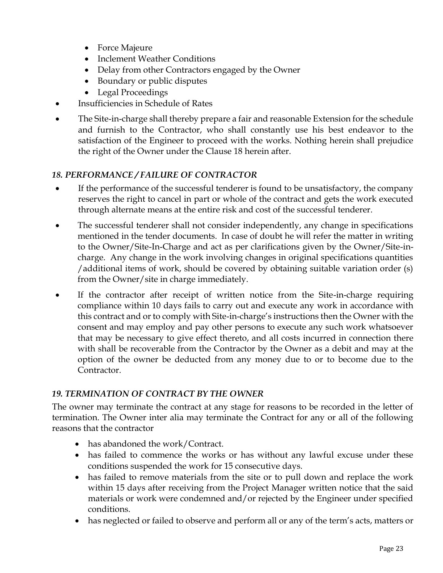- Force Majeure
- Inclement Weather Conditions
- Delay from other Contractors engaged by the Owner
- Boundary or public disputes
- Legal Proceedings
- Insufficiencies in Schedule of Rates
- The Site-in-charge shall thereby prepare a fair and reasonable Extension for the schedule and furnish to the Contractor, who shall constantly use his best endeavor to the satisfaction of the Engineer to proceed with the works. Nothing herein shall prejudice the right of the Owner under the Clause 18 herein after.

## *18. PERFORMANCE / FAILURE OF CONTRACTOR*

- If the performance of the successful tenderer is found to be unsatisfactory, the company reserves the right to cancel in part or whole of the contract and gets the work executed through alternate means at the entire risk and cost of the successful tenderer.
- The successful tenderer shall not consider independently, any change in specifications mentioned in the tender documents. In case of doubt he will refer the matter in writing to the Owner/Site-In-Charge and act as per clarifications given by the Owner/Site-incharge. Any change in the work involving changes in original specifications quantities /additional items of work, should be covered by obtaining suitable variation order (s) from the Owner/site in charge immediately.
- If the contractor after receipt of written notice from the Site-in-charge requiring compliance within 10 days fails to carry out and execute any work in accordance with this contract and or to comply with Site-in-charge's instructions then the Owner with the consent and may employ and pay other persons to execute any such work whatsoever that may be necessary to give effect thereto, and all costs incurred in connection there with shall be recoverable from the Contractor by the Owner as a debit and may at the option of the owner be deducted from any money due to or to become due to the Contractor.

## *19. TERMINATION OF CONTRACT BY THE OWNER*

The owner may terminate the contract at any stage for reasons to be recorded in the letter of termination. The Owner inter alia may terminate the Contract for any or all of the following reasons that the contractor

- has abandoned the work/Contract.
- has failed to commence the works or has without any lawful excuse under these conditions suspended the work for 15 consecutive days.
- has failed to remove materials from the site or to pull down and replace the work within 15 days after receiving from the Project Manager written notice that the said materials or work were condemned and/or rejected by the Engineer under specified conditions.
- has neglected or failed to observe and perform all or any of the term's acts, matters or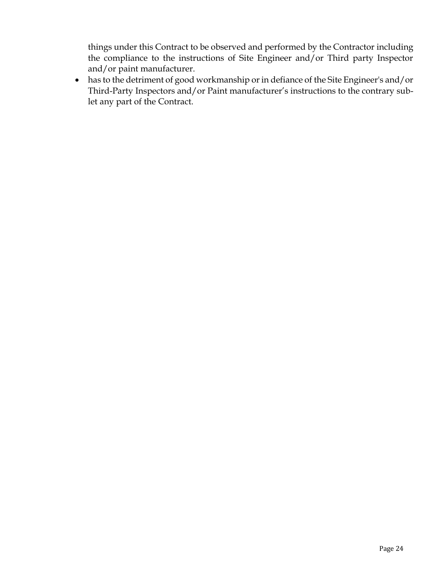things under this Contract to be observed and performed by the Contractor including the compliance to the instructions of Site Engineer and/or Third party Inspector and/or paint manufacturer.

• has to the detriment of good workmanship or in defiance of the Site Engineer's and/or Third-Party Inspectors and/or Paint manufacturer's instructions to the contrary sublet any part of the Contract.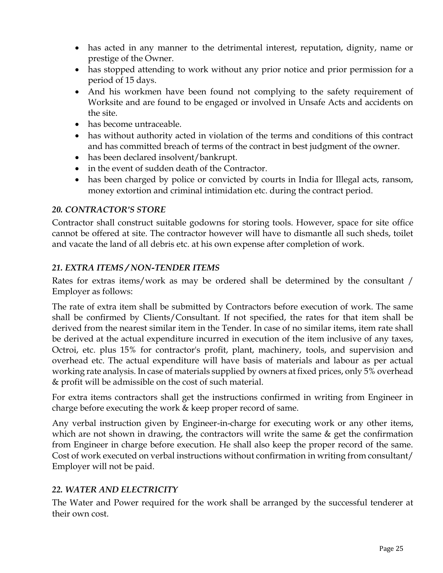- has acted in any manner to the detrimental interest, reputation, dignity, name or prestige of the Owner.
- has stopped attending to work without any prior notice and prior permission for a period of 15 days.
- And his workmen have been found not complying to the safety requirement of Worksite and are found to be engaged or involved in Unsafe Acts and accidents on the site.
- has become untraceable.
- has without authority acted in violation of the terms and conditions of this contract and has committed breach of terms of the contract in best judgment of the owner.
- has been declared insolvent/bankrupt.
- in the event of sudden death of the Contractor.
- has been charged by police or convicted by courts in India for Illegal acts, ransom, money extortion and criminal intimidation etc. during the contract period.

### *20. CONTRACTOR'S STORE*

Contractor shall construct suitable godowns for storing tools. However, space for site office cannot be offered at site. The contractor however will have to dismantle all such sheds, toilet and vacate the land of all debris etc. at his own expense after completion of work.

### *21. EXTRA ITEMS / NON-TENDER ITEMS*

Rates for extras items/work as may be ordered shall be determined by the consultant / Employer as follows:

The rate of extra item shall be submitted by Contractors before execution of work. The same shall be confirmed by Clients/Consultant. If not specified, the rates for that item shall be derived from the nearest similar item in the Tender. In case of no similar items, item rate shall be derived at the actual expenditure incurred in execution of the item inclusive of any taxes, Octroi, etc. plus 15% for contractor's profit, plant, machinery, tools, and supervision and overhead etc. The actual expenditure will have basis of materials and labour as per actual working rate analysis. In case of materials supplied by owners at fixed prices, only 5% overhead & profit will be admissible on the cost of such material.

For extra items contractors shall get the instructions confirmed in writing from Engineer in charge before executing the work  $&$  keep proper record of same.

Any verbal instruction given by Engineer-in-charge for executing work or any other items, which are not shown in drawing, the contractors will write the same & get the confirmation from Engineer in charge before execution. He shall also keep the proper record of the same. Cost of work executed on verbal instructions without confirmation in writing from consultant/ Employer will not be paid.

## *22. WATER AND ELECTRICITY*

The Water and Power required for the work shall be arranged by the successful tenderer at their own cost.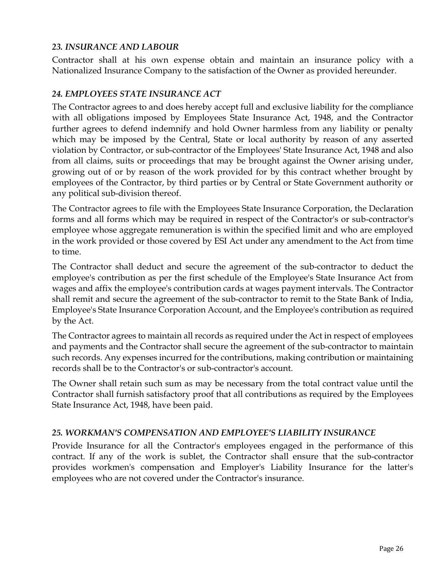### *23. INSURANCE AND LABOUR*

Contractor shall at his own expense obtain and maintain an insurance policy with a Nationalized Insurance Company to the satisfaction of the Owner as provided hereunder.

#### *24. EMPLOYEES STATE INSURANCE ACT*

The Contractor agrees to and does hereby accept full and exclusive liability for the compliance with all obligations imposed by Employees State Insurance Act, 1948, and the Contractor further agrees to defend indemnify and hold Owner harmless from any liability or penalty which may be imposed by the Central, State or local authority by reason of any asserted violation by Contractor, or sub-contractor of the Employees' State Insurance Act, 1948 and also from all claims, suits or proceedings that may be brought against the Owner arising under, growing out of or by reason of the work provided for by this contract whether brought by employees of the Contractor, by third parties or by Central or State Government authority or any political sub-division thereof.

The Contractor agrees to file with the Employees State Insurance Corporation, the Declaration forms and all forms which may be required in respect of the Contractor's or sub-contractor's employee whose aggregate remuneration is within the specified limit and who are employed in the work provided or those covered by ESI Act under any amendment to the Act from time to time.

The Contractor shall deduct and secure the agreement of the sub-contractor to deduct the employee's contribution as per the first schedule of the Employee's State Insurance Act from wages and affix the employee's contribution cards at wages payment intervals. The Contractor shall remit and secure the agreement of the sub-contractor to remit to the State Bank of India, Employee's State Insurance Corporation Account, and the Employee's contribution as required by the Act.

The Contractor agrees to maintain all records as required under the Act in respect of employees and payments and the Contractor shall secure the agreement of the sub-contractor to maintain such records. Any expenses incurred for the contributions, making contribution or maintaining records shall be to the Contractor's or sub-contractor's account.

The Owner shall retain such sum as may be necessary from the total contract value until the Contractor shall furnish satisfactory proof that all contributions as required by the Employees State Insurance Act, 1948, have been paid.

#### *25. WORKMAN'S COMPENSATION AND EMPLOYEE'S LIABILITY INSURANCE*

Provide Insurance for all the Contractor's employees engaged in the performance of this contract. If any of the work is sublet, the Contractor shall ensure that the sub-contractor provides workmen's compensation and Employer's Liability Insurance for the latter's employees who are not covered under the Contractor's insurance.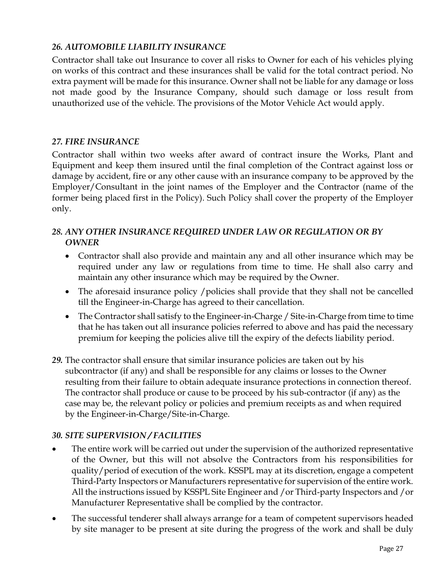## *26. AUTOMOBILE LIABILITY INSURANCE*

Contractor shall take out Insurance to cover all risks to Owner for each of his vehicles plying on works of this contract and these insurances shall be valid for the total contract period. No extra payment will be made for this insurance. Owner shall not be liable for any damage or loss not made good by the Insurance Company, should such damage or loss result from unauthorized use of the vehicle. The provisions of the Motor Vehicle Act would apply.

## *27. FIRE INSURANCE*

Contractor shall within two weeks after award of contract insure the Works, Plant and Equipment and keep them insured until the final completion of the Contract against loss or damage by accident, fire or any other cause with an insurance company to be approved by the Employer/Consultant in the joint names of the Employer and the Contractor (name of the former being placed first in the Policy). Such Policy shall cover the property of the Employer only.

## *28. ANY OTHER INSURANCE REQUIRED UNDER LAW OR REGULATION OR BY OWNER*

- Contractor shall also provide and maintain any and all other insurance which may be required under any law or regulations from time to time. He shall also carry and maintain any other insurance which may be required by the Owner.
- The aforesaid insurance policy / policies shall provide that they shall not be cancelled till the Engineer-in-Charge has agreed to their cancellation.
- The Contractor shall satisfy to the Engineer-in-Charge / Site-in-Charge from time to time that he has taken out all insurance policies referred to above and has paid the necessary premium for keeping the policies alive till the expiry of the defects liability period.
- *29.* The contractor shall ensure that similar insurance policies are taken out by his subcontractor (if any) and shall be responsible for any claims or losses to the Owner resulting from their failure to obtain adequate insurance protections in connection thereof. The contractor shall produce or cause to be proceed by his sub-contractor (if any) as the case may be, the relevant policy or policies and premium receipts as and when required by the Engineer-in-Charge/Site-in-Charge.

### *30. SITE SUPERVISION / FACILITIES*

- The entire work will be carried out under the supervision of the authorized representative of the Owner, but this will not absolve the Contractors from his responsibilities for quality/period of execution of the work. KSSPL may at its discretion, engage a competent Third-Party Inspectors or Manufacturers representative for supervision of the entire work. All the instructions issued by KSSPL Site Engineer and /or Third-party Inspectors and /or Manufacturer Representative shall be complied by the contractor.
- The successful tenderer shall always arrange for a team of competent supervisors headed by site manager to be present at site during the progress of the work and shall be duly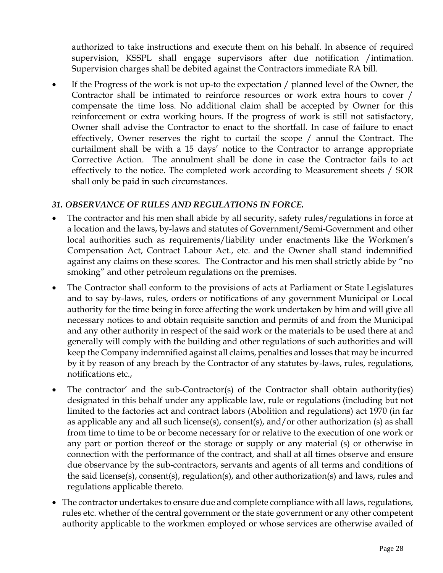authorized to take instructions and execute them on his behalf. In absence of required supervision, KSSPL shall engage supervisors after due notification /intimation. Supervision charges shall be debited against the Contractors immediate RA bill.

If the Progress of the work is not up-to the expectation / planned level of the Owner, the Contractor shall be intimated to reinforce resources or work extra hours to cover / compensate the time loss. No additional claim shall be accepted by Owner for this reinforcement or extra working hours. If the progress of work is still not satisfactory, Owner shall advise the Contractor to enact to the shortfall. In case of failure to enact effectively, Owner reserves the right to curtail the scope / annul the Contract. The curtailment shall be with a 15 days' notice to the Contractor to arrange appropriate Corrective Action. The annulment shall be done in case the Contractor fails to act effectively to the notice. The completed work according to Measurement sheets / SOR shall only be paid in such circumstances.

## *31. OBSERVANCE OF RULES AND REGULATIONS IN FORCE.*

- The contractor and his men shall abide by all security, safety rules/regulations in force at a location and the laws, by-laws and statutes of Government/Semi-Government and other local authorities such as requirements/liability under enactments like the Workmen's Compensation Act, Contract Labour Act., etc. and the Owner shall stand indemnified against any claims on these scores. The Contractor and his men shall strictly abide by "no smoking" and other petroleum regulations on the premises.
- The Contractor shall conform to the provisions of acts at Parliament or State Legislatures and to say by-laws, rules, orders or notifications of any government Municipal or Local authority for the time being in force affecting the work undertaken by him and will give all necessary notices to and obtain requisite sanction and permits of and from the Municipal and any other authority in respect of the said work or the materials to be used there at and generally will comply with the building and other regulations of such authorities and will keep the Company indemnified against all claims, penalties and losses that may be incurred by it by reason of any breach by the Contractor of any statutes by-laws, rules, regulations, notifications etc.,
- The contractor' and the sub-Contractor(s) of the Contractor shall obtain authority(ies) designated in this behalf under any applicable law, rule or regulations (including but not limited to the factories act and contract labors (Abolition and regulations) act 1970 (in far as applicable any and all such license(s), consent(s), and/or other authorization (s) as shall from time to time to be or become necessary for or relative to the execution of one work or any part or portion thereof or the storage or supply or any material (s) or otherwise in connection with the performance of the contract, and shall at all times observe and ensure due observance by the sub-contractors, servants and agents of all terms and conditions of the said license(s), consent(s), regulation(s), and other authorization(s) and laws, rules and regulations applicable thereto.
- The contractor undertakes to ensure due and complete compliance with all laws, regulations, rules etc. whether of the central government or the state government or any other competent authority applicable to the workmen employed or whose services are otherwise availed of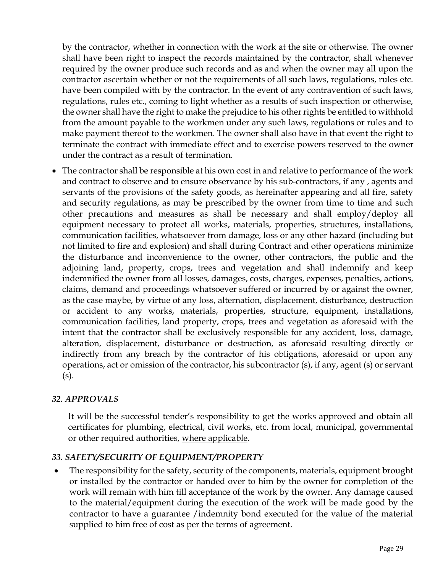by the contractor, whether in connection with the work at the site or otherwise. The owner shall have been right to inspect the records maintained by the contractor, shall whenever required by the owner produce such records and as and when the owner may all upon the contractor ascertain whether or not the requirements of all such laws, regulations, rules etc. have been compiled with by the contractor. In the event of any contravention of such laws, regulations, rules etc., coming to light whether as a results of such inspection or otherwise, the owner shall have the right to make the prejudice to his other rights be entitled to withhold from the amount payable to the workmen under any such laws, regulations or rules and to make payment thereof to the workmen. The owner shall also have in that event the right to terminate the contract with immediate effect and to exercise powers reserved to the owner under the contract as a result of termination.

• The contractor shall be responsible at his own cost in and relative to performance of the work and contract to observe and to ensure observance by his sub-contractors, if any , agents and servants of the provisions of the safety goods, as hereinafter appearing and all fire, safety and security regulations, as may be prescribed by the owner from time to time and such other precautions and measures as shall be necessary and shall employ/deploy all equipment necessary to protect all works, materials, properties, structures, installations, communication facilities, whatsoever from damage, loss or any other hazard (including but not limited to fire and explosion) and shall during Contract and other operations minimize the disturbance and inconvenience to the owner, other contractors, the public and the adjoining land, property, crops, trees and vegetation and shall indemnify and keep indemnified the owner from all losses, damages, costs, charges, expenses, penalties, actions, claims, demand and proceedings whatsoever suffered or incurred by or against the owner, as the case maybe, by virtue of any loss, alternation, displacement, disturbance, destruction or accident to any works, materials, properties, structure, equipment, installations, communication facilities, land property, crops, trees and vegetation as aforesaid with the intent that the contractor shall be exclusively responsible for any accident, loss, damage, alteration, displacement, disturbance or destruction, as aforesaid resulting directly or indirectly from any breach by the contractor of his obligations, aforesaid or upon any operations, act or omission of the contractor, his subcontractor (s), if any, agent (s) or servant (s).

### *32. APPROVALS*

It will be the successful tender's responsibility to get the works approved and obtain all certificates for plumbing, electrical, civil works, etc. from local, municipal, governmental or other required authorities, where applicable.

### *33. SAFETY/SECURITY OF EQUIPMENT/PROPERTY*

• The responsibility for the safety, security of the components, materials, equipment brought or installed by the contractor or handed over to him by the owner for completion of the work will remain with him till acceptance of the work by the owner. Any damage caused to the material/equipment during the execution of the work will be made good by the contractor to have a guarantee /indemnity bond executed for the value of the material supplied to him free of cost as per the terms of agreement.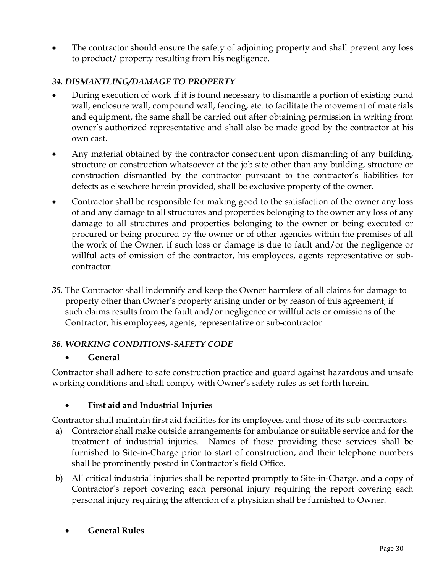• The contractor should ensure the safety of adjoining property and shall prevent any loss to product/ property resulting from his negligence.

## *34. DISMANTLING/DAMAGE TO PROPERTY*

- During execution of work if it is found necessary to dismantle a portion of existing bund wall, enclosure wall, compound wall, fencing, etc. to facilitate the movement of materials and equipment, the same shall be carried out after obtaining permission in writing from owner's authorized representative and shall also be made good by the contractor at his own cast.
- Any material obtained by the contractor consequent upon dismantling of any building, structure or construction whatsoever at the job site other than any building, structure or construction dismantled by the contractor pursuant to the contractor's liabilities for defects as elsewhere herein provided, shall be exclusive property of the owner.
- Contractor shall be responsible for making good to the satisfaction of the owner any loss of and any damage to all structures and properties belonging to the owner any loss of any damage to all structures and properties belonging to the owner or being executed or procured or being procured by the owner or of other agencies within the premises of all the work of the Owner, if such loss or damage is due to fault and/or the negligence or willful acts of omission of the contractor, his employees, agents representative or subcontractor.
- *35.* The Contractor shall indemnify and keep the Owner harmless of all claims for damage to property other than Owner's property arising under or by reason of this agreement, if such claims results from the fault and/or negligence or willful acts or omissions of the Contractor, his employees, agents, representative or sub-contractor.

### *36. WORKING CONDITIONS-SAFETY CODE*

### • **General**

Contractor shall adhere to safe construction practice and guard against hazardous and unsafe working conditions and shall comply with Owner's safety rules as set forth herein.

### • **First aid and Industrial Injuries**

Contractor shall maintain first aid facilities for its employees and those of its sub-contractors.

- a) Contractor shall make outside arrangements for ambulance or suitable service and for the treatment of industrial injuries. Names of those providing these services shall be furnished to Site-in-Charge prior to start of construction, and their telephone numbers shall be prominently posted in Contractor's field Office.
- b) All critical industrial injuries shall be reported promptly to Site-in-Charge, and a copy of Contractor's report covering each personal injury requiring the report covering each personal injury requiring the attention of a physician shall be furnished to Owner.
	- **General Rules**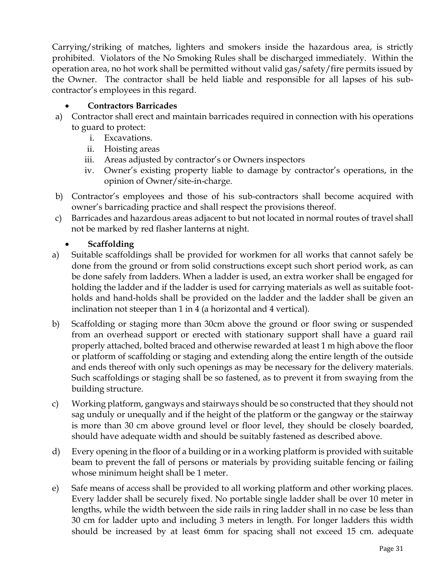Carrying/striking of matches, lighters and smokers inside the hazardous area, is strictly prohibited. Violators of the No Smoking Rules shall be discharged immediately. Within the operation area, no hot work shall be permitted without valid gas/safety/fire permits issued by the Owner. The contractor shall be held liable and responsible for all lapses of his subcontractor's employees in this regard.

## • **Contractors Barricades**

- a) Contractor shall erect and maintain barricades required in connection with his operations to guard to protect:
	- i. Excavations.
	- ii. Hoisting areas
	- iii. Areas adjusted by contractor's or Owners inspectors
	- iv. Owner's existing property liable to damage by contractor's operations, in the opinion of Owner/site-in-charge.
- b) Contractor's employees and those of his sub-contractors shall become acquired with owner's barricading practice and shall respect the provisions thereof.
- c) Barricades and hazardous areas adjacent to but not located in normal routes of travel shall not be marked by red flasher lanterns at night.

## • **Scaffolding**

- a) Suitable scaffoldings shall be provided for workmen for all works that cannot safely be done from the ground or from solid constructions except such short period work, as can be done safely from ladders. When a ladder is used, an extra worker shall be engaged for holding the ladder and if the ladder is used for carrying materials as well as suitable footholds and hand-holds shall be provided on the ladder and the ladder shall be given an inclination not steeper than 1 in 4 (a horizontal and 4 vertical).
- b) Scaffolding or staging more than 30cm above the ground or floor swing or suspended from an overhead support or erected with stationary support shall have a guard rail properly attached, bolted braced and otherwise rewarded at least 1 m high above the floor or platform of scaffolding or staging and extending along the entire length of the outside and ends thereof with only such openings as may be necessary for the delivery materials. Such scaffoldings or staging shall be so fastened, as to prevent it from swaying from the building structure.
- c) Working platform, gangways and stairways should be so constructed that they should not sag unduly or unequally and if the height of the platform or the gangway or the stairway is more than 30 cm above ground level or floor level, they should be closely boarded, should have adequate width and should be suitably fastened as described above.
- d) Every opening in the floor of a building or in a working platform is provided with suitable beam to prevent the fall of persons or materials by providing suitable fencing or failing whose minimum height shall be 1 meter.
- e) Safe means of access shall be provided to all working platform and other working places. Every ladder shall be securely fixed. No portable single ladder shall be over 10 meter in lengths, while the width between the side rails in ring ladder shall in no case be less than 30 cm for ladder upto and including 3 meters in length. For longer ladders this width should be increased by at least 6mm for spacing shall not exceed 15 cm. adequate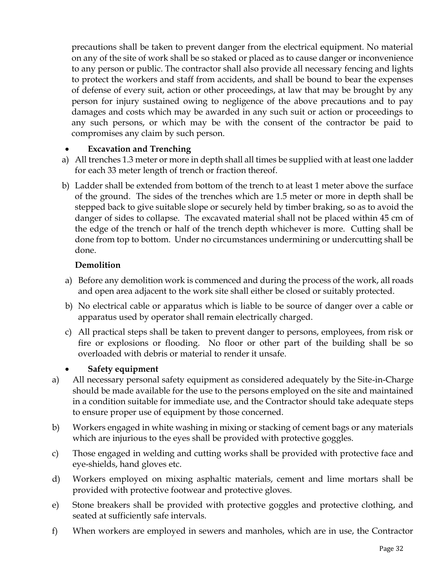precautions shall be taken to prevent danger from the electrical equipment. No material on any of the site of work shall be so staked or placed as to cause danger or inconvenience to any person or public. The contractor shall also provide all necessary fencing and lights to protect the workers and staff from accidents, and shall be bound to bear the expenses of defense of every suit, action or other proceedings, at law that may be brought by any person for injury sustained owing to negligence of the above precautions and to pay damages and costs which may be awarded in any such suit or action or proceedings to any such persons, or which may be with the consent of the contractor be paid to compromises any claim by such person.

### • **Excavation and Trenching**

- a) All trenches 1.3 meter or more in depth shall all times be supplied with at least one ladder for each 33 meter length of trench or fraction thereof.
- b) Ladder shall be extended from bottom of the trench to at least 1 meter above the surface of the ground. The sides of the trenches which are 1.5 meter or more in depth shall be stepped back to give suitable slope or securely held by timber braking, so as to avoid the danger of sides to collapse. The excavated material shall not be placed within 45 cm of the edge of the trench or half of the trench depth whichever is more. Cutting shall be done from top to bottom. Under no circumstances undermining or undercutting shall be done.

### **Demolition**

- a) Before any demolition work is commenced and during the process of the work, all roads and open area adjacent to the work site shall either be closed or suitably protected.
- b) No electrical cable or apparatus which is liable to be source of danger over a cable or apparatus used by operator shall remain electrically charged.
- c) All practical steps shall be taken to prevent danger to persons, employees, from risk or fire or explosions or flooding. No floor or other part of the building shall be so overloaded with debris or material to render it unsafe.

## • **Safety equipment**

- a) All necessary personal safety equipment as considered adequately by the Site-in-Charge should be made available for the use to the persons employed on the site and maintained in a condition suitable for immediate use, and the Contractor should take adequate steps to ensure proper use of equipment by those concerned.
- b) Workers engaged in white washing in mixing or stacking of cement bags or any materials which are injurious to the eyes shall be provided with protective goggles.
- c) Those engaged in welding and cutting works shall be provided with protective face and eye-shields, hand gloves etc.
- d) Workers employed on mixing asphaltic materials, cement and lime mortars shall be provided with protective footwear and protective gloves.
- e) Stone breakers shall be provided with protective goggles and protective clothing, and seated at sufficiently safe intervals.
- f) When workers are employed in sewers and manholes, which are in use, the Contractor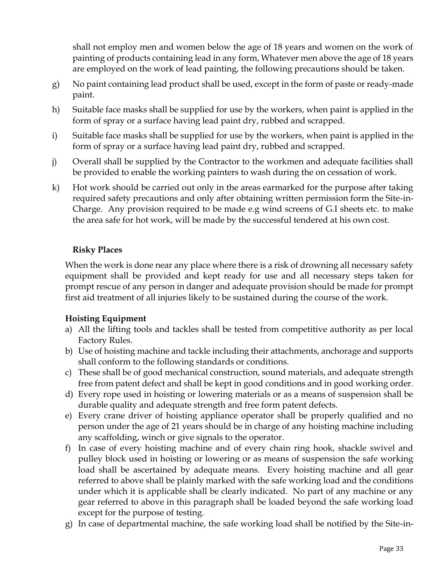shall not employ men and women below the age of 18 years and women on the work of painting of products containing lead in any form, Whatever men above the age of 18 years are employed on the work of lead painting, the following precautions should be taken.

- g) No paint containing lead product shall be used, except in the form of paste or ready-made paint.
- h) Suitable face masks shall be supplied for use by the workers, when paint is applied in the form of spray or a surface having lead paint dry, rubbed and scrapped.
- i) Suitable face masks shall be supplied for use by the workers, when paint is applied in the form of spray or a surface having lead paint dry, rubbed and scrapped.
- j) Overall shall be supplied by the Contractor to the workmen and adequate facilities shall be provided to enable the working painters to wash during the on cessation of work.
- k) Hot work should be carried out only in the areas earmarked for the purpose after taking required safety precautions and only after obtaining written permission form the Site-in-Charge. Any provision required to be made e.g wind screens of G.I sheets etc. to make the area safe for hot work, will be made by the successful tendered at his own cost.

### **Risky Places**

When the work is done near any place where there is a risk of drowning all necessary safety equipment shall be provided and kept ready for use and all necessary steps taken for prompt rescue of any person in danger and adequate provision should be made for prompt first aid treatment of all injuries likely to be sustained during the course of the work.

### **Hoisting Equipment**

- a) All the lifting tools and tackles shall be tested from competitive authority as per local Factory Rules.
- b) Use of hoisting machine and tackle including their attachments, anchorage and supports shall conform to the following standards or conditions.
- c) These shall be of good mechanical construction, sound materials, and adequate strength free from patent defect and shall be kept in good conditions and in good working order.
- d) Every rope used in hoisting or lowering materials or as a means of suspension shall be durable quality and adequate strength and free form patent defects.
- e) Every crane driver of hoisting appliance operator shall be properly qualified and no person under the age of 21 years should be in charge of any hoisting machine including any scaffolding, winch or give signals to the operator.
- f) In case of every hoisting machine and of every chain ring hook, shackle swivel and pulley block used in hoisting or lowering or as means of suspension the safe working load shall be ascertained by adequate means. Every hoisting machine and all gear referred to above shall be plainly marked with the safe working load and the conditions under which it is applicable shall be clearly indicated. No part of any machine or any gear referred to above in this paragraph shall be loaded beyond the safe working load except for the purpose of testing.
- g) In case of departmental machine, the safe working load shall be notified by the Site-in-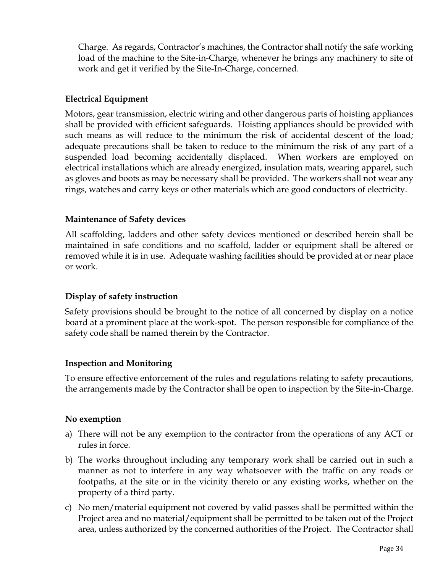Charge. As regards, Contractor's machines, the Contractor shall notify the safe working load of the machine to the Site-in-Charge, whenever he brings any machinery to site of work and get it verified by the Site-In-Charge, concerned.

## **Electrical Equipment**

Motors, gear transmission, electric wiring and other dangerous parts of hoisting appliances shall be provided with efficient safeguards. Hoisting appliances should be provided with such means as will reduce to the minimum the risk of accidental descent of the load; adequate precautions shall be taken to reduce to the minimum the risk of any part of a suspended load becoming accidentally displaced. When workers are employed on electrical installations which are already energized, insulation mats, wearing apparel, such as gloves and boots as may be necessary shall be provided. The workers shall not wear any rings, watches and carry keys or other materials which are good conductors of electricity.

### **Maintenance of Safety devices**

All scaffolding, ladders and other safety devices mentioned or described herein shall be maintained in safe conditions and no scaffold, ladder or equipment shall be altered or removed while it is in use. Adequate washing facilities should be provided at or near place or work.

### **Display of safety instruction**

Safety provisions should be brought to the notice of all concerned by display on a notice board at a prominent place at the work-spot. The person responsible for compliance of the safety code shall be named therein by the Contractor.

### **Inspection and Monitoring**

To ensure effective enforcement of the rules and regulations relating to safety precautions, the arrangements made by the Contractor shall be open to inspection by the Site-in-Charge.

#### **No exemption**

- a) There will not be any exemption to the contractor from the operations of any ACT or rules in force.
- b) The works throughout including any temporary work shall be carried out in such a manner as not to interfere in any way whatsoever with the traffic on any roads or footpaths, at the site or in the vicinity thereto or any existing works, whether on the property of a third party.
- c) No men/material equipment not covered by valid passes shall be permitted within the Project area and no material/equipment shall be permitted to be taken out of the Project area, unless authorized by the concerned authorities of the Project. The Contractor shall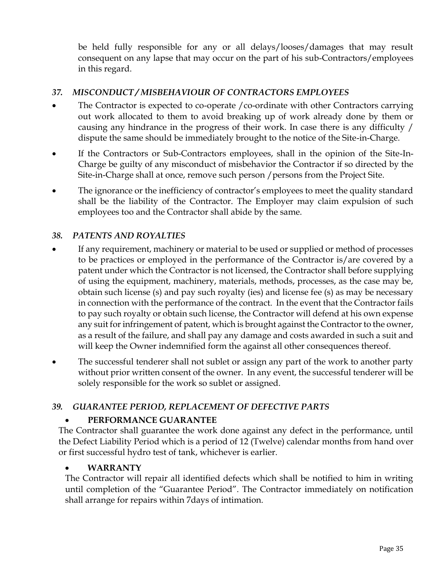be held fully responsible for any or all delays/looses/damages that may result consequent on any lapse that may occur on the part of his sub-Contractors/employees in this regard.

## *37. MISCONDUCT / MISBEHAVIOUR OF CONTRACTORS EMPLOYEES*

- The Contractor is expected to co-operate /co-ordinate with other Contractors carrying out work allocated to them to avoid breaking up of work already done by them or causing any hindrance in the progress of their work. In case there is any difficulty / dispute the same should be immediately brought to the notice of the Site-in-Charge.
- If the Contractors or Sub-Contractors employees, shall in the opinion of the Site-In-Charge be guilty of any misconduct of misbehavior the Contractor if so directed by the Site-in-Charge shall at once, remove such person /persons from the Project Site.
- The ignorance or the inefficiency of contractor's employees to meet the quality standard shall be the liability of the Contractor. The Employer may claim expulsion of such employees too and the Contractor shall abide by the same.

### *38. PATENTS AND ROYALTIES*

- If any requirement, machinery or material to be used or supplied or method of processes to be practices or employed in the performance of the Contractor is/are covered by a patent under which the Contractor is not licensed, the Contractor shall before supplying of using the equipment, machinery, materials, methods, processes, as the case may be, obtain such license (s) and pay such royalty (ies) and license fee (s) as may be necessary in connection with the performance of the contract. In the event that the Contractor fails to pay such royalty or obtain such license, the Contractor will defend at his own expense any suit for infringement of patent, which is brought against the Contractor to the owner, as a result of the failure, and shall pay any damage and costs awarded in such a suit and will keep the Owner indemnified form the against all other consequences thereof.
- The successful tenderer shall not sublet or assign any part of the work to another party without prior written consent of the owner. In any event, the successful tenderer will be solely responsible for the work so sublet or assigned.

#### *39. GUARANTEE PERIOD, REPLACEMENT OF DEFECTIVE PARTS*

### • **PERFORMANCE GUARANTEE**

The Contractor shall guarantee the work done against any defect in the performance, until the Defect Liability Period which is a period of 12 (Twelve) calendar months from hand over or first successful hydro test of tank, whichever is earlier.

#### • **WARRANTY**

The Contractor will repair all identified defects which shall be notified to him in writing until completion of the "Guarantee Period". The Contractor immediately on notification shall arrange for repairs within 7days of intimation.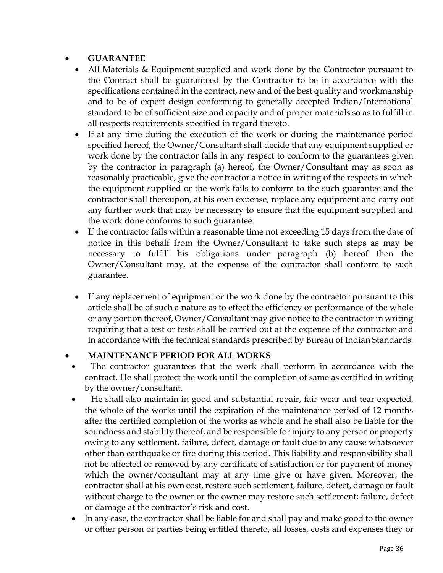## • **GUARANTEE**

- All Materials & Equipment supplied and work done by the Contractor pursuant to the Contract shall be guaranteed by the Contractor to be in accordance with the specifications contained in the contract, new and of the best quality and workmanship and to be of expert design conforming to generally accepted Indian/International standard to be of sufficient size and capacity and of proper materials so as to fulfill in all respects requirements specified in regard thereto.
- If at any time during the execution of the work or during the maintenance period specified hereof, the Owner/Consultant shall decide that any equipment supplied or work done by the contractor fails in any respect to conform to the guarantees given by the contractor in paragraph (a) hereof, the Owner/Consultant may as soon as reasonably practicable, give the contractor a notice in writing of the respects in which the equipment supplied or the work fails to conform to the such guarantee and the contractor shall thereupon, at his own expense, replace any equipment and carry out any further work that may be necessary to ensure that the equipment supplied and the work done conforms to such guarantee.
- If the contractor fails within a reasonable time not exceeding 15 days from the date of notice in this behalf from the Owner/Consultant to take such steps as may be necessary to fulfill his obligations under paragraph (b) hereof then the Owner/Consultant may, at the expense of the contractor shall conform to such guarantee.
- If any replacement of equipment or the work done by the contractor pursuant to this article shall be of such a nature as to effect the efficiency or performance of the whole or any portion thereof, Owner/Consultant may give notice to the contractor in writing requiring that a test or tests shall be carried out at the expense of the contractor and in accordance with the technical standards prescribed by Bureau of Indian Standards.

### • **MAINTENANCE PERIOD FOR ALL WORKS**

- The contractor guarantees that the work shall perform in accordance with the contract. He shall protect the work until the completion of same as certified in writing by the owner/consultant.
- He shall also maintain in good and substantial repair, fair wear and tear expected, the whole of the works until the expiration of the maintenance period of 12 months after the certified completion of the works as whole and he shall also be liable for the soundness and stability thereof, and be responsible for injury to any person or property owing to any settlement, failure, defect, damage or fault due to any cause whatsoever other than earthquake or fire during this period. This liability and responsibility shall not be affected or removed by any certificate of satisfaction or for payment of money which the owner/consultant may at any time give or have given. Moreover, the contractor shall at his own cost, restore such settlement, failure, defect, damage or fault without charge to the owner or the owner may restore such settlement; failure, defect or damage at the contractor's risk and cost.
- In any case, the contractor shall be liable for and shall pay and make good to the owner or other person or parties being entitled thereto, all losses, costs and expenses they or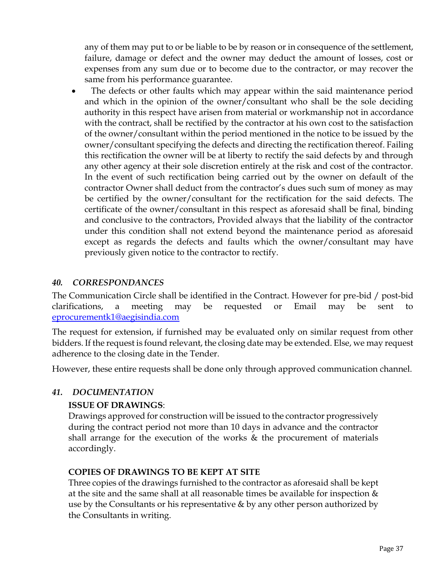any of them may put to or be liable to be by reason or in consequence of the settlement, failure, damage or defect and the owner may deduct the amount of losses, cost or expenses from any sum due or to become due to the contractor, or may recover the same from his performance guarantee.

The defects or other faults which may appear within the said maintenance period and which in the opinion of the owner/consultant who shall be the sole deciding authority in this respect have arisen from material or workmanship not in accordance with the contract, shall be rectified by the contractor at his own cost to the satisfaction of the owner/consultant within the period mentioned in the notice to be issued by the owner/consultant specifying the defects and directing the rectification thereof. Failing this rectification the owner will be at liberty to rectify the said defects by and through any other agency at their sole discretion entirely at the risk and cost of the contractor. In the event of such rectification being carried out by the owner on default of the contractor Owner shall deduct from the contractor's dues such sum of money as may be certified by the owner/consultant for the rectification for the said defects. The certificate of the owner/consultant in this respect as aforesaid shall be final, binding and conclusive to the contractors, Provided always that the liability of the contractor under this condition shall not extend beyond the maintenance period as aforesaid except as regards the defects and faults which the owner/consultant may have previously given notice to the contractor to rectify.

### *40. CORRESPONDANCES*

The Communication Circle shall be identified in the Contract. However for pre-bid / post-bid clarifications, a meeting may be requested or Email may be sent to [eprocurementk1@aegisindia.com](mailto:eprocurementk1@aegisindia.com)

The request for extension, if furnished may be evaluated only on similar request from other bidders. If the request is found relevant, the closing date may be extended. Else, we may request adherence to the closing date in the Tender.

However, these entire requests shall be done only through approved communication channel.

#### *41. DOCUMENTATION*

#### **ISSUE OF DRAWINGS**:

Drawings approved for construction will be issued to the contractor progressively during the contract period not more than 10 days in advance and the contractor shall arrange for the execution of the works & the procurement of materials accordingly.

#### **COPIES OF DRAWINGS TO BE KEPT AT SITE**

Three copies of the drawings furnished to the contractor as aforesaid shall be kept at the site and the same shall at all reasonable times be available for inspection & use by the Consultants or his representative & by any other person authorized by the Consultants in writing.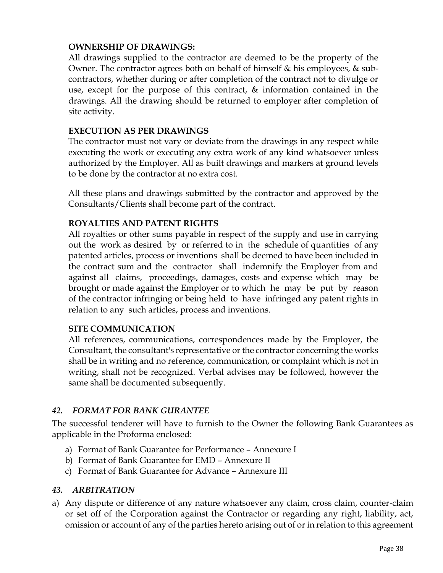### **OWNERSHIP OF DRAWINGS:**

All drawings supplied to the contractor are deemed to be the property of the Owner. The contractor agrees both on behalf of himself & his employees, & subcontractors, whether during or after completion of the contract not to divulge or use, except for the purpose of this contract, & information contained in the drawings. All the drawing should be returned to employer after completion of site activity.

#### **EXECUTION AS PER DRAWINGS**

The contractor must not vary or deviate from the drawings in any respect while executing the work or executing any extra work of any kind whatsoever unless authorized by the Employer. All as built drawings and markers at ground levels to be done by the contractor at no extra cost.

All these plans and drawings submitted by the contractor and approved by the Consultants/Clients shall become part of the contract.

### **ROYALTIES AND PATENT RIGHTS**

All royalties or other sums payable in respect of the supply and use in carrying out the work as desired by or referred to in the schedule of quantities of any patented articles, process or inventions shall be deemed to have been included in the contract sum and the contractor shall indemnify the Employer from and against all claims, proceedings, damages, costs and expense which may be brought or made against the Employer or to which he may be put by reason of the contractor infringing or being held to have infringed any patent rights in relation to any such articles, process and inventions.

#### **SITE COMMUNICATION**

All references, communications, correspondences made by the Employer, the Consultant, the consultant's representative or the contractor concerning the works shall be in writing and no reference, communication, or complaint which is not in writing, shall not be recognized. Verbal advises may be followed, however the same shall be documented subsequently.

#### *42. FORMAT FOR BANK GURANTEE*

The successful tenderer will have to furnish to the Owner the following Bank Guarantees as applicable in the Proforma enclosed:

- a) Format of Bank Guarantee for Performance Annexure I
- b) Format of Bank Guarantee for EMD Annexure II
- c) Format of Bank Guarantee for Advance Annexure III

#### *43. ARBITRATION*

a) Any dispute or difference of any nature whatsoever any claim, cross claim, counter-claim or set off of the Corporation against the Contractor or regarding any right, liability, act, omission or account of any of the parties hereto arising out of or in relation to this agreement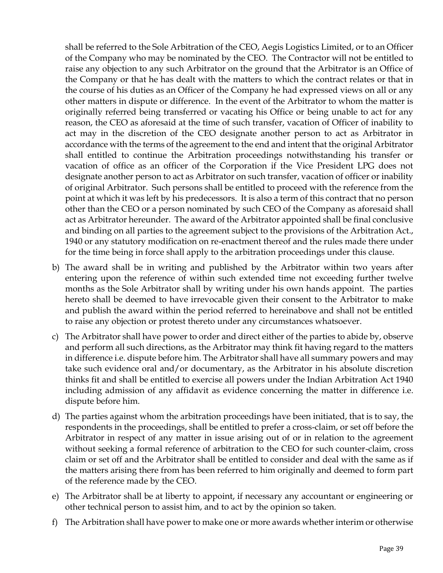shall be referred to the Sole Arbitration of the CEO, Aegis Logistics Limited, or to an Officer of the Company who may be nominated by the CEO. The Contractor will not be entitled to raise any objection to any such Arbitrator on the ground that the Arbitrator is an Office of the Company or that he has dealt with the matters to which the contract relates or that in the course of his duties as an Officer of the Company he had expressed views on all or any other matters in dispute or difference. In the event of the Arbitrator to whom the matter is originally referred being transferred or vacating his Office or being unable to act for any reason, the CEO as aforesaid at the time of such transfer, vacation of Officer of inability to act may in the discretion of the CEO designate another person to act as Arbitrator in accordance with the terms of the agreement to the end and intent that the original Arbitrator shall entitled to continue the Arbitration proceedings notwithstanding his transfer or vacation of office as an officer of the Corporation if the Vice President LPG does not designate another person to act as Arbitrator on such transfer, vacation of officer or inability of original Arbitrator. Such persons shall be entitled to proceed with the reference from the point at which it was left by his predecessors. It is also a term of this contract that no person other than the CEO or a person nominated by such CEO of the Company as aforesaid shall act as Arbitrator hereunder. The award of the Arbitrator appointed shall be final conclusive and binding on all parties to the agreement subject to the provisions of the Arbitration Act., 1940 or any statutory modification on re-enactment thereof and the rules made there under for the time being in force shall apply to the arbitration proceedings under this clause.

- b) The award shall be in writing and published by the Arbitrator within two years after entering upon the reference of within such extended time not exceeding further twelve months as the Sole Arbitrator shall by writing under his own hands appoint. The parties hereto shall be deemed to have irrevocable given their consent to the Arbitrator to make and publish the award within the period referred to hereinabove and shall not be entitled to raise any objection or protest thereto under any circumstances whatsoever.
- c) The Arbitrator shall have power to order and direct either of the parties to abide by, observe and perform all such directions, as the Arbitrator may think fit having regard to the matters in difference i.e. dispute before him. The Arbitrator shall have all summary powers and may take such evidence oral and/or documentary, as the Arbitrator in his absolute discretion thinks fit and shall be entitled to exercise all powers under the Indian Arbitration Act 1940 including admission of any affidavit as evidence concerning the matter in difference i.e. dispute before him.
- d) The parties against whom the arbitration proceedings have been initiated, that is to say, the respondents in the proceedings, shall be entitled to prefer a cross-claim, or set off before the Arbitrator in respect of any matter in issue arising out of or in relation to the agreement without seeking a formal reference of arbitration to the CEO for such counter-claim, cross claim or set off and the Arbitrator shall be entitled to consider and deal with the same as if the matters arising there from has been referred to him originally and deemed to form part of the reference made by the CEO.
- e) The Arbitrator shall be at liberty to appoint, if necessary any accountant or engineering or other technical person to assist him, and to act by the opinion so taken.
- f) The Arbitration shall have power to make one or more awards whether interim or otherwise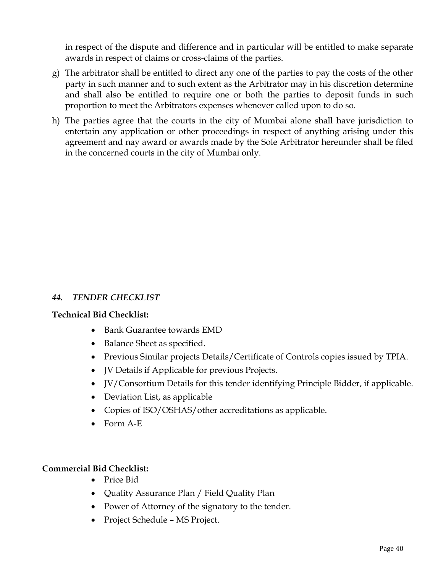in respect of the dispute and difference and in particular will be entitled to make separate awards in respect of claims or cross-claims of the parties.

- g) The arbitrator shall be entitled to direct any one of the parties to pay the costs of the other party in such manner and to such extent as the Arbitrator may in his discretion determine and shall also be entitled to require one or both the parties to deposit funds in such proportion to meet the Arbitrators expenses whenever called upon to do so.
- h) The parties agree that the courts in the city of Mumbai alone shall have jurisdiction to entertain any application or other proceedings in respect of anything arising under this agreement and nay award or awards made by the Sole Arbitrator hereunder shall be filed in the concerned courts in the city of Mumbai only.

#### *44. TENDER CHECKLIST*

#### **Technical Bid Checklist:**

- Bank Guarantee towards EMD
- Balance Sheet as specified.
- Previous Similar projects Details/Certificate of Controls copies issued by TPIA.
- JV Details if Applicable for previous Projects.
- JV/Consortium Details for this tender identifying Principle Bidder, if applicable.
- Deviation List, as applicable
- Copies of ISO/OSHAS/other accreditations as applicable.
- Form A-E

### **Commercial Bid Checklist:**

- Price Bid
- Quality Assurance Plan / Field Quality Plan
- Power of Attorney of the signatory to the tender.
- Project Schedule MS Project.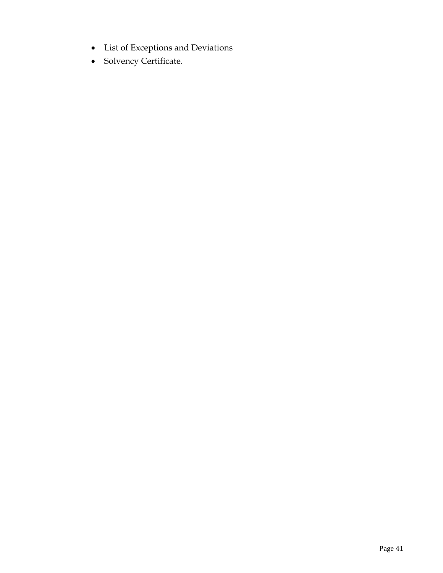- List of Exceptions and Deviations
- Solvency Certificate.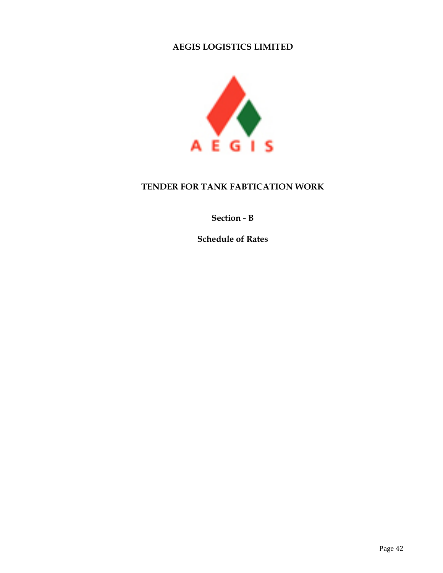### **AEGIS LOGISTICS LIMITED**



## **TENDER FOR TANK FABTICATION WORK**

## **Section - B**

**Schedule of Rates**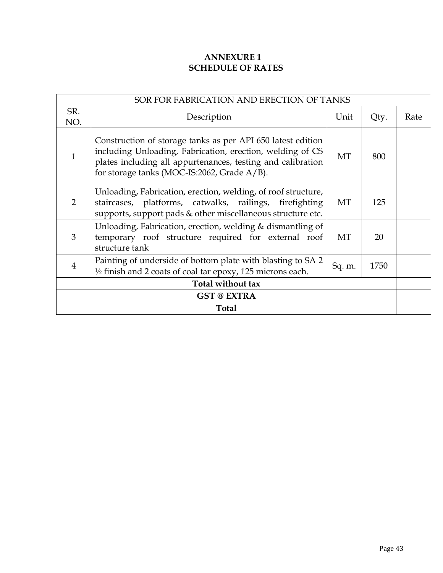## **ANNEXURE 1 SCHEDULE OF RATES**

| SOR FOR FABRICATION AND ERECTION OF TANKS |                                                                                                                                                                                                                                        |      |      |      |  |
|-------------------------------------------|----------------------------------------------------------------------------------------------------------------------------------------------------------------------------------------------------------------------------------------|------|------|------|--|
| SR.<br>NO.                                | Description                                                                                                                                                                                                                            | Unit | Qty. | Rate |  |
| $\mathbf{1}$                              | Construction of storage tanks as per API 650 latest edition<br>including Unloading, Fabrication, erection, welding of CS<br>plates including all appurtenances, testing and calibration<br>for storage tanks (MOC-IS:2062, Grade A/B). | МT   | 800  |      |  |
| $\overline{2}$                            | Unloading, Fabrication, erection, welding, of roof structure,<br>staircases, platforms, catwalks, railings, firefighting<br>supports, support pads & other miscellaneous structure etc.                                                | МT   | 125  |      |  |
| 3                                         | Unloading, Fabrication, erection, welding & dismantling of<br>temporary roof structure required for external roof<br>structure tank                                                                                                    | МT   | 20   |      |  |
| 4                                         | Painting of underside of bottom plate with blasting to SA 2<br>1750<br>Sq. m.<br>$\frac{1}{2}$ finish and 2 coats of coal tar epoxy, 125 microns each.                                                                                 |      |      |      |  |
| Total without tax                         |                                                                                                                                                                                                                                        |      |      |      |  |
| <b>GST @ EXTRA</b>                        |                                                                                                                                                                                                                                        |      |      |      |  |
|                                           | <b>Total</b>                                                                                                                                                                                                                           |      |      |      |  |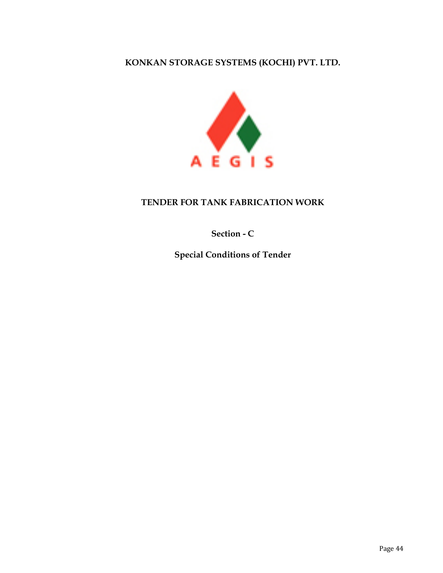## **KONKAN STORAGE SYSTEMS (KOCHI) PVT. LTD.**



## **TENDER FOR TANK FABRICATION WORK**

**Section - C**

**Special Conditions of Tender**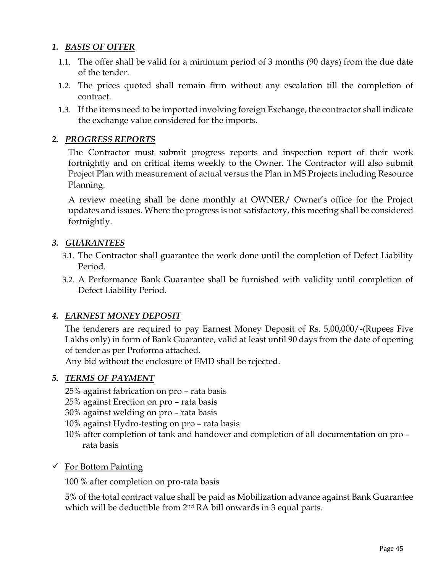### *1. BASIS OF OFFER*

- 1.1. The offer shall be valid for a minimum period of 3 months (90 days) from the due date of the tender.
- 1.2. The prices quoted shall remain firm without any escalation till the completion of contract.
- 1.3. If the items need to be imported involving foreign Exchange, the contractor shall indicate the exchange value considered for the imports.

## *2. PROGRESS REPORTS*

The Contractor must submit progress reports and inspection report of their work fortnightly and on critical items weekly to the Owner. The Contractor will also submit Project Plan with measurement of actual versus the Plan in MS Projects including Resource Planning.

A review meeting shall be done monthly at OWNER/ Owner's office for the Project updates and issues. Where the progress is not satisfactory, this meeting shall be considered fortnightly.

## *3. GUARANTEES*

- 3.1. The Contractor shall guarantee the work done until the completion of Defect Liability Period.
- 3.2. A Performance Bank Guarantee shall be furnished with validity until completion of Defect Liability Period.

### *4. EARNEST MONEY DEPOSIT*

The tenderers are required to pay Earnest Money Deposit of Rs. 5,00,000/-(Rupees Five Lakhs only) in form of Bank Guarantee, valid at least until 90 days from the date of opening of tender as per Proforma attached.

Any bid without the enclosure of EMD shall be rejected.

### *5. TERMS OF PAYMENT*

- 25% against fabrication on pro rata basis
- 25% against Erection on pro rata basis
- 30% against welding on pro rata basis
- 10% against Hydro-testing on pro rata basis
- 10% after completion of tank and handover and completion of all documentation on pro rata basis
- $\checkmark$  For Bottom Painting

100 % after completion on pro-rata basis

5% of the total contract value shall be paid as Mobilization advance against Bank Guarantee which will be deductible from 2nd RA bill onwards in 3 equal parts.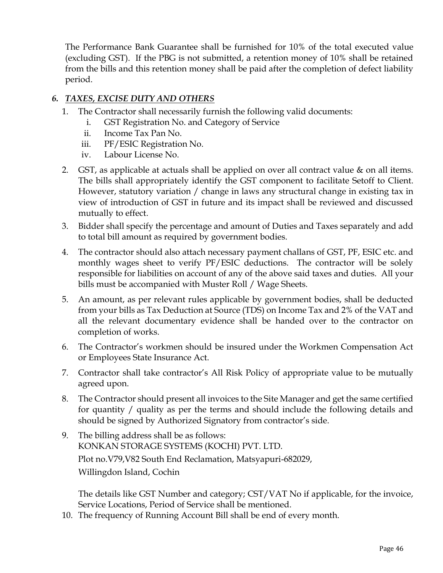The Performance Bank Guarantee shall be furnished for 10% of the total executed value (excluding GST). If the PBG is not submitted, a retention money of 10% shall be retained from the bills and this retention money shall be paid after the completion of defect liability period.

## *6. TAXES, EXCISE DUTY AND OTHERS*

- 1. The Contractor shall necessarily furnish the following valid documents:
	- i. GST Registration No. and Category of Service
	- ii. Income Tax Pan No.
	- iii. PF/ESIC Registration No.
	- iv. Labour License No.
- 2. GST, as applicable at actuals shall be applied on over all contract value & on all items. The bills shall appropriately identify the GST component to facilitate Setoff to Client. However, statutory variation / change in laws any structural change in existing tax in view of introduction of GST in future and its impact shall be reviewed and discussed mutually to effect.
- 3. Bidder shall specify the percentage and amount of Duties and Taxes separately and add to total bill amount as required by government bodies.
- 4. The contractor should also attach necessary payment challans of GST, PF, ESIC etc. and monthly wages sheet to verify PF/ESIC deductions. The contractor will be solely responsible for liabilities on account of any of the above said taxes and duties. All your bills must be accompanied with Muster Roll / Wage Sheets.
- 5. An amount, as per relevant rules applicable by government bodies, shall be deducted from your bills as Tax Deduction at Source (TDS) on Income Tax and 2% of the VAT and all the relevant documentary evidence shall be handed over to the contractor on completion of works.
- 6. The Contractor's workmen should be insured under the Workmen Compensation Act or Employees State Insurance Act.
- 7. Contractor shall take contractor's All Risk Policy of appropriate value to be mutually agreed upon.
- 8. The Contractor should present all invoices to the Site Manager and get the same certified for quantity / quality as per the terms and should include the following details and should be signed by Authorized Signatory from contractor's side.
- 9. The billing address shall be as follows: KONKAN STORAGE SYSTEMS (KOCHI) PVT. LTD. Plot no.V79,V82 South End Reclamation, Matsyapuri-682029, Willingdon Island, Cochin

The details like GST Number and category; CST/VAT No if applicable, for the invoice, Service Locations, Period of Service shall be mentioned.

10. The frequency of Running Account Bill shall be end of every month.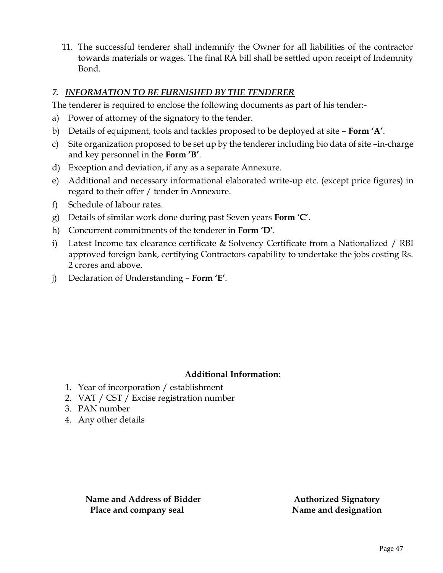11. The successful tenderer shall indemnify the Owner for all liabilities of the contractor towards materials or wages. The final RA bill shall be settled upon receipt of Indemnity Bond.

## *7. INFORMATION TO BE FURNISHED BY THE TENDERER*

The tenderer is required to enclose the following documents as part of his tender:-

- a) Power of attorney of the signatory to the tender.
- b) Details of equipment, tools and tackles proposed to be deployed at site **Form 'A'**.
- c) Site organization proposed to be set up by the tenderer including bio data of site –in-charge and key personnel in the **Form 'B'**.
- d) Exception and deviation, if any as a separate Annexure.
- e) Additional and necessary informational elaborated write-up etc. (except price figures) in regard to their offer / tender in Annexure.
- f) Schedule of labour rates.
- g) Details of similar work done during past Seven years **Form 'C'**.
- h) Concurrent commitments of the tenderer in **Form 'D'**.
- i) Latest Income tax clearance certificate & Solvency Certificate from a Nationalized / RBI approved foreign bank, certifying Contractors capability to undertake the jobs costing Rs. 2 crores and above.
- j) Declaration of Understanding **Form 'E'**.

### **Additional Information:**

- 1. Year of incorporation / establishment
- 2. VAT / CST / Excise registration number
- 3. PAN number
- 4. Any other details

**Name and Address of Bidder Authorized Signatory Place and company seal Name and designation**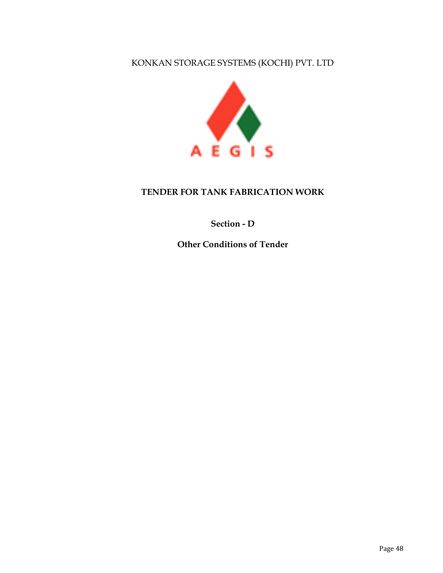## KONKAN STORAGE SYSTEMS (KOCHI) PVT. LTD



### **TENDER FOR TANK FABRICATION WORK**

## **Section - D**

**Other Conditions of Tender**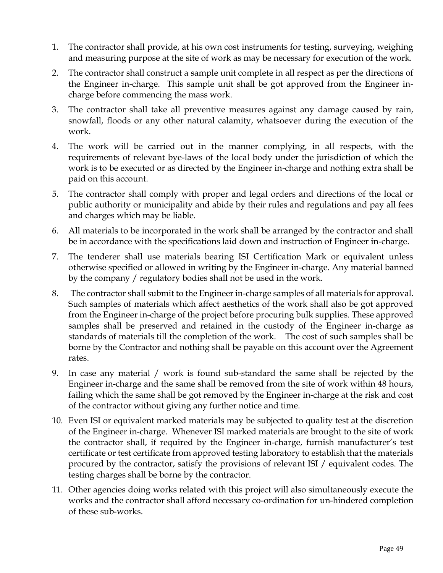- 1. The contractor shall provide, at his own cost instruments for testing, surveying, weighing and measuring purpose at the site of work as may be necessary for execution of the work.
- 2. The contractor shall construct a sample unit complete in all respect as per the directions of the Engineer in-charge. This sample unit shall be got approved from the Engineer incharge before commencing the mass work.
- 3. The contractor shall take all preventive measures against any damage caused by rain, snowfall, floods or any other natural calamity, whatsoever during the execution of the work.
- 4. The work will be carried out in the manner complying, in all respects, with the requirements of relevant bye-laws of the local body under the jurisdiction of which the work is to be executed or as directed by the Engineer in-charge and nothing extra shall be paid on this account.
- 5. The contractor shall comply with proper and legal orders and directions of the local or public authority or municipality and abide by their rules and regulations and pay all fees and charges which may be liable.
- 6. All materials to be incorporated in the work shall be arranged by the contractor and shall be in accordance with the specifications laid down and instruction of Engineer in-charge.
- 7. The tenderer shall use materials bearing ISI Certification Mark or equivalent unless otherwise specified or allowed in writing by the Engineer in-charge. Any material banned by the company / regulatory bodies shall not be used in the work.
- 8. The contractor shall submit to the Engineer in-charge samples of all materials for approval. Such samples of materials which affect aesthetics of the work shall also be got approved from the Engineer in-charge of the project before procuring bulk supplies. These approved samples shall be preserved and retained in the custody of the Engineer in-charge as standards of materials till the completion of the work. The cost of such samples shall be borne by the Contractor and nothing shall be payable on this account over the Agreement rates.
- 9. In case any material / work is found sub-standard the same shall be rejected by the Engineer in-charge and the same shall be removed from the site of work within 48 hours, failing which the same shall be got removed by the Engineer in-charge at the risk and cost of the contractor without giving any further notice and time.
- 10. Even ISI or equivalent marked materials may be subjected to quality test at the discretion of the Engineer in-charge. Whenever ISI marked materials are brought to the site of work the contractor shall, if required by the Engineer in-charge, furnish manufacturer's test certificate or test certificate from approved testing laboratory to establish that the materials procured by the contractor, satisfy the provisions of relevant ISI / equivalent codes. The testing charges shall be borne by the contractor.
- 11. Other agencies doing works related with this project will also simultaneously execute the works and the contractor shall afford necessary co-ordination for un-hindered completion of these sub-works.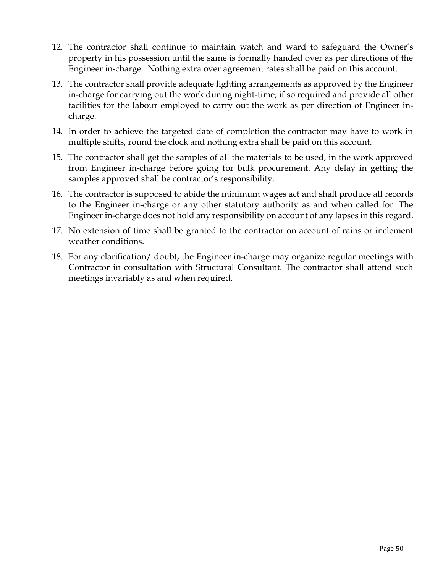- 12. The contractor shall continue to maintain watch and ward to safeguard the Owner's property in his possession until the same is formally handed over as per directions of the Engineer in-charge. Nothing extra over agreement rates shall be paid on this account.
- 13. The contractor shall provide adequate lighting arrangements as approved by the Engineer in-charge for carrying out the work during night-time, if so required and provide all other facilities for the labour employed to carry out the work as per direction of Engineer incharge.
- 14. In order to achieve the targeted date of completion the contractor may have to work in multiple shifts, round the clock and nothing extra shall be paid on this account.
- 15. The contractor shall get the samples of all the materials to be used, in the work approved from Engineer in-charge before going for bulk procurement. Any delay in getting the samples approved shall be contractor's responsibility.
- 16. The contractor is supposed to abide the minimum wages act and shall produce all records to the Engineer in-charge or any other statutory authority as and when called for. The Engineer in-charge does not hold any responsibility on account of any lapses in this regard.
- 17. No extension of time shall be granted to the contractor on account of rains or inclement weather conditions.
- 18. For any clarification/ doubt, the Engineer in-charge may organize regular meetings with Contractor in consultation with Structural Consultant. The contractor shall attend such meetings invariably as and when required.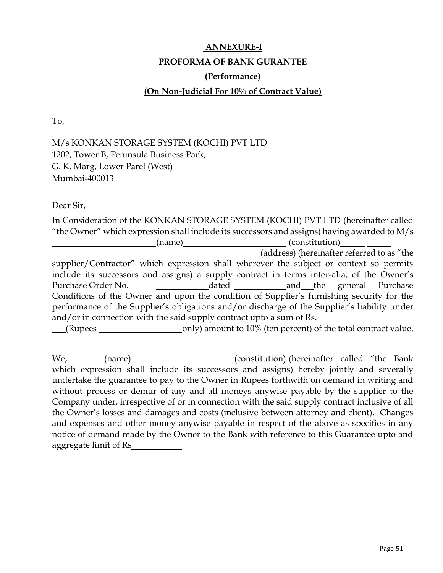# **ANNEXURE-I PROFORMA OF BANK GURANTEE (Performance) (On Non-Judicial For 10% of Contract Value)**

To,

## M/s KONKAN STORAGE SYSTEM (KOCHI) PVT LTD 1202, Tower B, Peninsula Business Park, G. K. Marg, Lower Parel (West) Mumbai-400013

Dear Sir,

In Consideration of the KONKAN STORAGE SYSTEM (KOCHI) PVT LTD (hereinafter called "the Owner" which expression shall include its successors and assigns) having awarded to M/s (name) (constitution) (address) (hereinafter referred to as "the supplier/Contractor" which expression shall wherever the subject or context so permits include its successors and assigns) a supply contract in terms inter-alia, of the Owner's Purchase Order No. **and Separate Access** and the general Purchase Conditions of the Owner and upon the condition of Supplier's furnishing security for the performance of the Supplier's obligations and/or discharge of the Supplier's liability under and/or in connection with the said supply contract upto a sum of Rs. (Rupees only) amount to 10% (ten percent) of the total contract value.

We, (name) (constitution) (hereinafter called "the Bank which expression shall include its successors and assigns) hereby jointly and severally undertake the guarantee to pay to the Owner in Rupees forthwith on demand in writing and without process or demur of any and all moneys anywise payable by the supplier to the Company under, irrespective of or in connection with the said supply contract inclusive of all the Owner's losses and damages and costs (inclusive between attorney and client). Changes and expenses and other money anywise payable in respect of the above as specifies in any notice of demand made by the Owner to the Bank with reference to this Guarantee upto and aggregate limit of Rs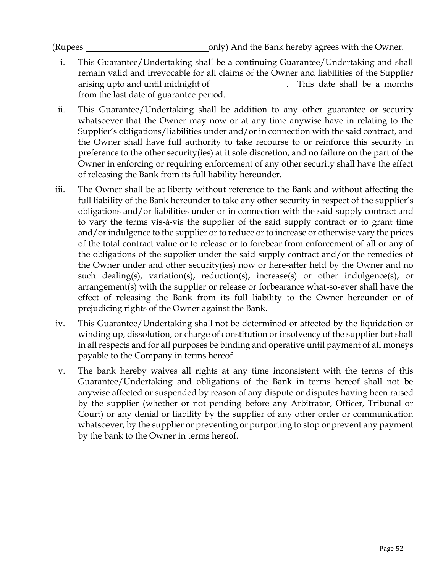- i. This Guarantee/Undertaking shall be a continuing Guarantee/Undertaking and shall remain valid and irrevocable for all claims of the Owner and liabilities of the Supplier arising upto and until midnight of . This date shall be a months from the last date of guarantee period.
- ii. This Guarantee/Undertaking shall be addition to any other guarantee or security whatsoever that the Owner may now or at any time anywise have in relating to the Supplier's obligations/liabilities under and/or in connection with the said contract, and the Owner shall have full authority to take recourse to or reinforce this security in preference to the other security(ies) at it sole discretion, and no failure on the part of the Owner in enforcing or requiring enforcement of any other security shall have the effect of releasing the Bank from its full liability hereunder.
- iii. The Owner shall be at liberty without reference to the Bank and without affecting the full liability of the Bank hereunder to take any other security in respect of the supplier's obligations and/or liabilities under or in connection with the said supply contract and to vary the terms vis-à-vis the supplier of the said supply contract or to grant time and/or indulgence to the supplier or to reduce or to increase or otherwise vary the prices of the total contract value or to release or to forebear from enforcement of all or any of the obligations of the supplier under the said supply contract and/or the remedies of the Owner under and other security(ies) now or here-after held by the Owner and no such dealing(s), variation(s), reduction(s), increase(s) or other indulgence(s), or arrangement(s) with the supplier or release or forbearance what-so-ever shall have the effect of releasing the Bank from its full liability to the Owner hereunder or of prejudicing rights of the Owner against the Bank.
- iv. This Guarantee/Undertaking shall not be determined or affected by the liquidation or winding up, dissolution, or charge of constitution or insolvency of the supplier but shall in all respects and for all purposes be binding and operative until payment of all moneys payable to the Company in terms hereof
- v. The bank hereby waives all rights at any time inconsistent with the terms of this Guarantee/Undertaking and obligations of the Bank in terms hereof shall not be anywise affected or suspended by reason of any dispute or disputes having been raised by the supplier (whether or not pending before any Arbitrator, Officer, Tribunal or Court) or any denial or liability by the supplier of any other order or communication whatsoever, by the supplier or preventing or purporting to stop or prevent any payment by the bank to the Owner in terms hereof.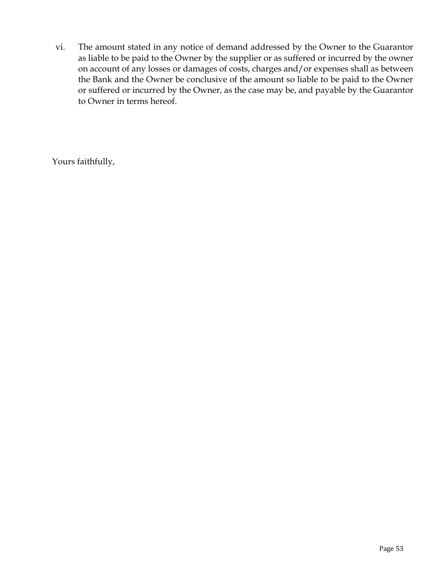vi. The amount stated in any notice of demand addressed by the Owner to the Guarantor as liable to be paid to the Owner by the supplier or as suffered or incurred by the owner on account of any losses or damages of costs, charges and/or expenses shall as between the Bank and the Owner be conclusive of the amount so liable to be paid to the Owner or suffered or incurred by the Owner, as the case may be, and payable by the Guarantor to Owner in terms hereof.

Yours faithfully,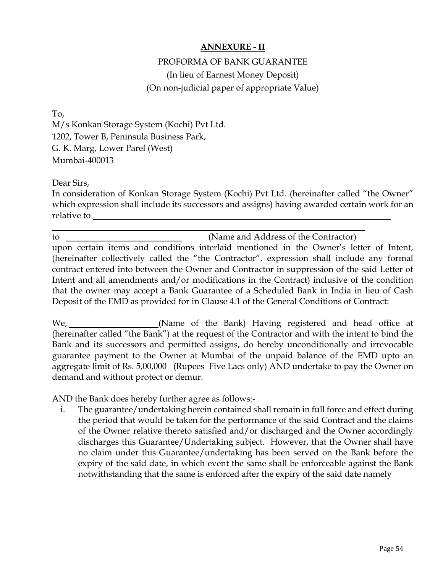### **ANNEXURE - II**

# PROFORMA OF BANK GUARANTEE (In lieu of Earnest Money Deposit) (On non-judicial paper of appropriate Value)

To, M/s Konkan Storage System (Kochi) Pvt Ltd. 1202, Tower B, Peninsula Business Park, G. K. Marg, Lower Parel (West) Mumbai-400013

Dear Sirs,

In consideration of Konkan Storage System (Kochi) Pvt Ltd. (hereinafter called "the Owner" which expression shall include its successors and assigns) having awarded certain work for an relative to

to (Name and Address of the Contractor) upon certain items and conditions interlaid mentioned in the Owner's letter of Intent, (hereinafter collectively called the "the Contractor", expression shall include any formal contract entered into between the Owner and Contractor in suppression of the said Letter of Intent and all amendments and/or modifications in the Contract) inclusive of the condition that the owner may accept a Bank Guarantee of a Scheduled Bank in India in lieu of Cash Deposit of the EMD as provided for in Clause 4.1 of the General Conditions of Contract:

We, **Example 20** (Name of the Bank) Having registered and head office at (hereinafter called "the Bank") at the request of the Contractor and with the intent to bind the Bank and its successors and permitted assigns, do hereby unconditionally and irrevocable guarantee payment to the Owner at Mumbai of the unpaid balance of the EMD upto an aggregate limit of Rs. 5,00,000 (Rupees Five Lacs only) AND undertake to pay the Owner on demand and without protect or demur.

AND the Bank does hereby further agree as follows:-

i. The guarantee/undertaking herein contained shall remain in full force and effect during the period that would be taken for the performance of the said Contract and the claims of the Owner relative thereto satisfied and/or discharged and the Owner accordingly discharges this Guarantee/Undertaking subject. However, that the Owner shall have no claim under this Guarantee/undertaking has been served on the Bank before the expiry of the said date, in which event the same shall be enforceable against the Bank notwithstanding that the same is enforced after the expiry of the said date namely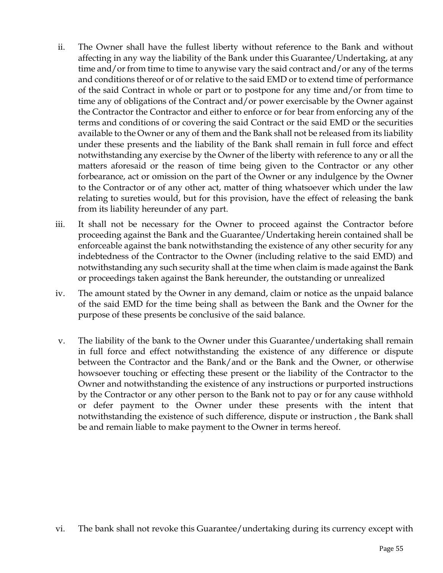- ii. The Owner shall have the fullest liberty without reference to the Bank and without affecting in any way the liability of the Bank under this Guarantee/Undertaking, at any time and/or from time to time to anywise vary the said contract and/or any of the terms and conditions thereof or of or relative to the said EMD or to extend time of performance of the said Contract in whole or part or to postpone for any time and/or from time to time any of obligations of the Contract and/or power exercisable by the Owner against the Contractor the Contractor and either to enforce or for bear from enforcing any of the terms and conditions of or covering the said Contract or the said EMD or the securities available to the Owner or any of them and the Bank shall not be released from its liability under these presents and the liability of the Bank shall remain in full force and effect notwithstanding any exercise by the Owner of the liberty with reference to any or all the matters aforesaid or the reason of time being given to the Contractor or any other forbearance, act or omission on the part of the Owner or any indulgence by the Owner to the Contractor or of any other act, matter of thing whatsoever which under the law relating to sureties would, but for this provision, have the effect of releasing the bank from its liability hereunder of any part.
- iii. It shall not be necessary for the Owner to proceed against the Contractor before proceeding against the Bank and the Guarantee/Undertaking herein contained shall be enforceable against the bank notwithstanding the existence of any other security for any indebtedness of the Contractor to the Owner (including relative to the said EMD) and notwithstanding any such security shall at the time when claim is made against the Bank or proceedings taken against the Bank hereunder, the outstanding or unrealized
- iv. The amount stated by the Owner in any demand, claim or notice as the unpaid balance of the said EMD for the time being shall as between the Bank and the Owner for the purpose of these presents be conclusive of the said balance.
- v. The liability of the bank to the Owner under this Guarantee/undertaking shall remain in full force and effect notwithstanding the existence of any difference or dispute between the Contractor and the Bank/and or the Bank and the Owner, or otherwise howsoever touching or effecting these present or the liability of the Contractor to the Owner and notwithstanding the existence of any instructions or purported instructions by the Contractor or any other person to the Bank not to pay or for any cause withhold or defer payment to the Owner under these presents with the intent that notwithstanding the existence of such difference, dispute or instruction , the Bank shall be and remain liable to make payment to the Owner in terms hereof.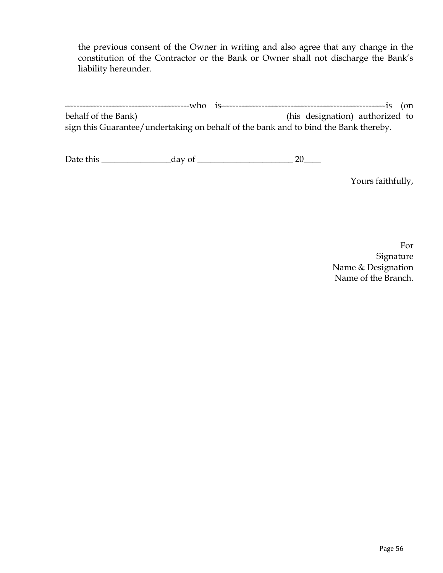the previous consent of the Owner in writing and also agree that any change in the constitution of the Contractor or the Bank or Owner shall not discharge the Bank's liability hereunder.

-------------------------------------------who is---------------------------------------------------------is (on behalf of the Bank) (his designation) authorized to sign this Guarantee/undertaking on behalf of the bank and to bind the Bank thereby.

Date this \_\_\_\_\_\_\_\_\_\_\_\_\_\_\_\_day of \_\_\_\_\_\_\_\_\_\_\_\_\_\_\_\_\_\_\_\_\_\_ 20\_\_\_\_

Yours faithfully,

For Signature Name & Designation Name of the Branch.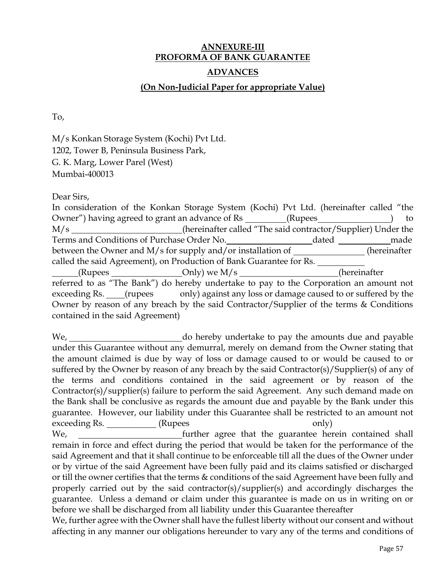## **ANNEXURE-III PROFORMA OF BANK GUARANTEE ADVANCES**

### **(On Non-Judicial Paper for appropriate Value)**

To,

M/s Konkan Storage System (Kochi) Pvt Ltd. 1202, Tower B, Peninsula Business Park, G. K. Marg, Lower Parel (West) Mumbai-400013

Dear Sirs,

In consideration of the Konkan Storage System (Kochi) Pvt Ltd. (hereinafter called "the Owner") having agreed to grant an advance of Rs (Rupees ) to M/s \_\_\_\_\_\_\_\_\_\_\_\_\_\_\_\_\_\_(hereinafter called "The said contractor/Supplier) Under the Terms and Conditions of Purchase Order No. dated made between the Owner and M/s for supply and/or installation of (hereinafter called the said Agreement), on Production of Bank Guarantee for Rs.  $\text{(Rupees}\_\_\_\_\_\_\_\_\_\_\_$  Only) we M/s  $\text{M/s}\_\_\_\_\_\_\_\_\_\_\_\_\_\_$  (hereinafter referred to as "The Bank") do hereby undertake to pay to the Corporation an amount not exceeding Rs. (rupees only) against any loss or damage caused to or suffered by the Owner by reason of any breach by the said Contractor/Supplier of the terms & Conditions contained in the said Agreement)

We, we do hereby undertake to pay the amounts due and payable under this Guarantee without any demurral, merely on demand from the Owner stating that the amount claimed is due by way of loss or damage caused to or would be caused to or suffered by the Owner by reason of any breach by the said Contractor(s)/Supplier(s) of any of the terms and conditions contained in the said agreement or by reason of the Contractor(s)/supplier(s) failure to perform the said Agreement. Any such demand made on the Bank shall be conclusive as regards the amount due and payable by the Bank under this guarantee. However, our liability under this Guarantee shall be restricted to an amount not exceeding Rs. \_\_\_\_\_\_\_\_\_\_\_\_\_(Rupees only) We, we further agree that the guarantee herein contained shall remain in force and effect during the period that would be taken for the performance of the said Agreement and that it shall continue to be enforceable till all the dues of the Owner under or by virtue of the said Agreement have been fully paid and its claims satisfied or discharged or till the owner certifies that the terms & conditions of the said Agreement have been fully and properly carried out by the said contractor(s)/supplier(s) and accordingly discharges the guarantee. Unless a demand or claim under this guarantee is made on us in writing on or before we shall be discharged from all liability under this Guarantee thereafter We, further agree with the Owner shall have the fullest liberty without our consent and without

affecting in any manner our obligations hereunder to vary any of the terms and conditions of

Page 57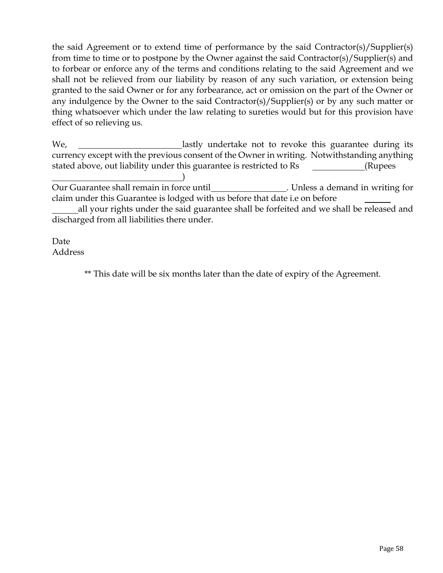the said Agreement or to extend time of performance by the said Contractor(s)/Supplier(s) from time to time or to postpone by the Owner against the said Contractor(s)/Supplier(s) and to forbear or enforce any of the terms and conditions relating to the said Agreement and we shall not be relieved from our liability by reason of any such variation, or extension being granted to the said Owner or for any forbearance, act or omission on the part of the Owner or any indulgence by the Owner to the said Contractor(s)/Supplier(s) or by any such matter or thing whatsoever which under the law relating to sureties would but for this provision have effect of so relieving us.

We, \_\_\_\_\_\_\_\_\_\_\_\_\_\_\_\_\_\_\_\_\_\_\_\_\_\_lastly undertake not to revoke this guarantee during its currency except with the previous consent of the Owner in writing. Notwithstanding anything stated above, out liability under this guarantee is restricted to Rs (Rupees

) Our Guarantee shall remain in force until\_\_\_\_\_\_\_\_\_\_\_\_\_\_\_\_\_\_. Unless a demand in writing for claim under this Guarantee is lodged with us before that date i.e on before

all your rights under the said guarantee shall be forfeited and we shall be released and discharged from all liabilities there under.

Date Address

\*\* This date will be six months later than the date of expiry of the Agreement.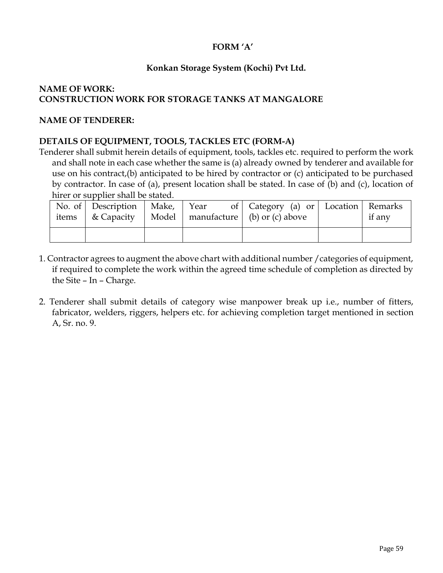## **FORM 'A'**

## **Konkan Storage System (Kochi) Pvt Ltd.**

## **NAME OF WORK: CONSTRUCTION WORK FOR STORAGE TANKS AT MANGALORE**

#### **NAME OF TENDERER:**

### **DETAILS OF EQUIPMENT, TOOLS, TACKLES ETC (FORM-A)**

Tenderer shall submit herein details of equipment, tools, tackles etc. required to perform the work and shall note in each case whether the same is (a) already owned by tenderer and available for use on his contract,(b) anticipated to be hired by contractor or (c) anticipated to be purchased by contractor. In case of (a), present location shall be stated. In case of (b) and (c), location of hirer or supplier shall be stated.

| No. of Description   Make,   Year |  | of   Category (a) or   Location   Remarks<br>items $\&$ Capacity   Model   manufacture $\&$ (b) or (c) above | if any |
|-----------------------------------|--|--------------------------------------------------------------------------------------------------------------|--------|
|                                   |  |                                                                                                              |        |

- 1. Contractor agrees to augment the above chart with additional number /categories of equipment, if required to complete the work within the agreed time schedule of completion as directed by the Site – In – Charge.
- 2. Tenderer shall submit details of category wise manpower break up i.e., number of fitters, fabricator, welders, riggers, helpers etc. for achieving completion target mentioned in section A, Sr. no. 9.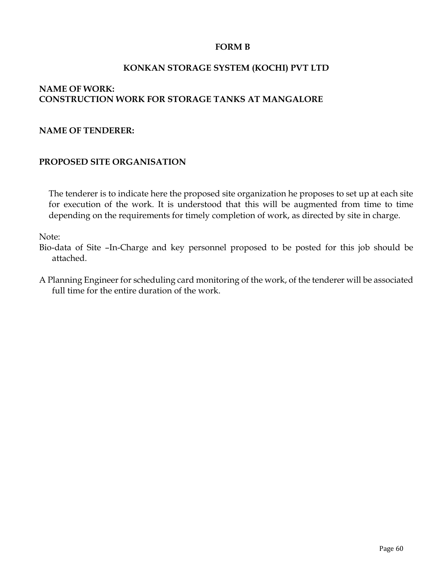### **FORM B**

### **KONKAN STORAGE SYSTEM (KOCHI) PVT LTD**

### **NAME OF WORK: CONSTRUCTION WORK FOR STORAGE TANKS AT MANGALORE**

#### **NAME OF TENDERER:**

#### **PROPOSED SITE ORGANISATION**

The tenderer is to indicate here the proposed site organization he proposes to set up at each site for execution of the work. It is understood that this will be augmented from time to time depending on the requirements for timely completion of work, as directed by site in charge.

Note:

Bio-data of Site –In-Charge and key personnel proposed to be posted for this job should be attached.

A Planning Engineer for scheduling card monitoring of the work, of the tenderer will be associated full time for the entire duration of the work.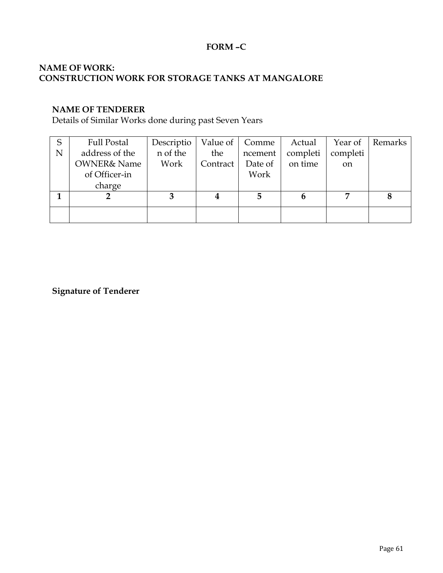## **FORM –C**

### **NAME OF WORK: CONSTRUCTION WORK FOR STORAGE TANKS AT MANGALORE**

#### **NAME OF TENDERER**

Details of Similar Works done during past Seven Years

| S | <b>Full Postal</b>     | Descriptio |          | Value of   Comme | Actual   | Year of       | Remarks |
|---|------------------------|------------|----------|------------------|----------|---------------|---------|
| N | address of the         | n of the   | the      | ncement          | completi | completi      |         |
|   | <b>OWNER&amp; Name</b> | Work       | Contract | Date of          | on time  | <sub>on</sub> |         |
|   | of Officer-in          |            |          | Work             |          |               |         |
|   | charge                 |            |          |                  |          |               |         |
|   |                        |            | 4        |                  | 6        |               |         |
|   |                        |            |          |                  |          |               |         |
|   |                        |            |          |                  |          |               |         |

**Signature of Tenderer**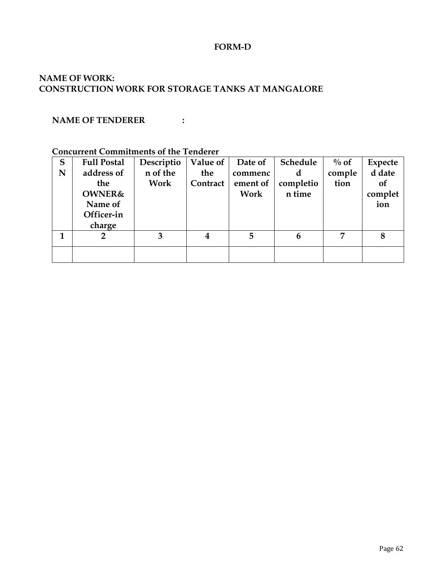#### **FORM-D**

### **NAME OF WORK: CONSTRUCTION WORK FOR STORAGE TANKS AT MANGALORE**

### **NAME OF TENDERER :**

#### **Concurrent Commitments of the Tenderer**

| S | <b>Full Postal</b> | Descriptio | Value of         | Date of  | Schedule  | $\%$ of | <b>Expecte</b> |
|---|--------------------|------------|------------------|----------|-----------|---------|----------------|
| N | address of         | n of the   | the              | commenc  | d         | comple  | d date         |
|   | the                | Work       | Contract         | ement of | completio | tion    | of             |
|   | <b>OWNER&amp;</b>  |            |                  | Work     | n time    |         | complet        |
|   | Name of            |            |                  |          |           |         | ion            |
|   | Officer-in         |            |                  |          |           |         |                |
|   | charge             |            |                  |          |           |         |                |
| 1 | $\overline{2}$     | 3          | $\boldsymbol{4}$ | 5        | 6         | 7       | 8              |
|   |                    |            |                  |          |           |         |                |
|   |                    |            |                  |          |           |         |                |